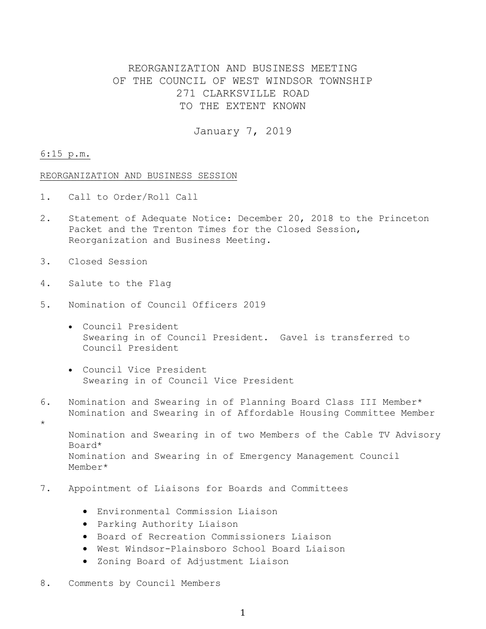# REORGANIZATION AND BUSINESS MEETING OF THE COUNCIL OF WEST WINDSOR TOWNSHIP 271 CLARKSVILLE ROAD TO THE EXTENT KNOWN

January 7, 2019

#### 6:15 p.m.

\*

#### REORGANIZATION AND BUSINESS SESSION

- 1. Call to Order/Roll Call
- 2. Statement of Adequate Notice: December 20, 2018 to the Princeton Packet and the Trenton Times for the Closed Session, Reorganization and Business Meeting.
- 3. Closed Session
- 4. Salute to the Flag
- 5. Nomination of Council Officers 2019
	- Council President Swearing in of Council President. Gavel is transferred to Council President
	- Council Vice President Swearing in of Council Vice President
- 6. Nomination and Swearing in of Planning Board Class III Member\* Nomination and Swearing in of Affordable Housing Committee Member
	- Nomination and Swearing in of two Members of the Cable TV Advisory Board\* Nomination and Swearing in of Emergency Management Council Member\*
- 7. Appointment of Liaisons for Boards and Committees
	- Environmental Commission Liaison
	- Parking Authority Liaison
	- Board of Recreation Commissioners Liaison
	- West Windsor-Plainsboro School Board Liaison
	- Zoning Board of Adjustment Liaison
- 8. Comments by Council Members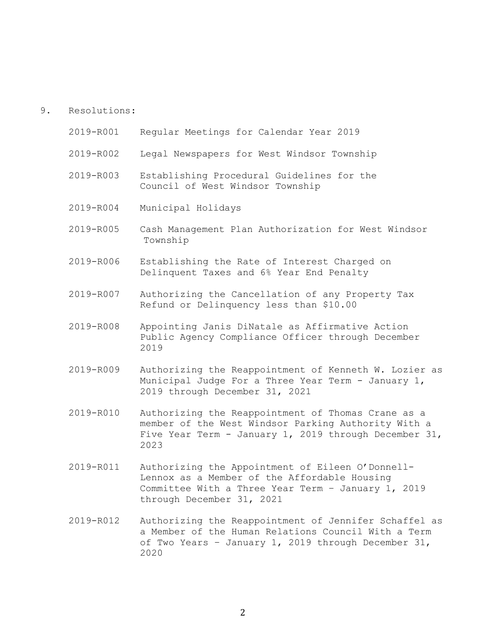# 9. Resolutions:

| 2019-R001 | Regular Meetings for Calendar Year 2019                                                                                                                                             |
|-----------|-------------------------------------------------------------------------------------------------------------------------------------------------------------------------------------|
| 2019-R002 | Legal Newspapers for West Windsor Township                                                                                                                                          |
| 2019-R003 | Establishing Procedural Guidelines for the<br>Council of West Windsor Township                                                                                                      |
| 2019-R004 | Municipal Holidays                                                                                                                                                                  |
| 2019-R005 | Cash Management Plan Authorization for West Windsor<br>Township                                                                                                                     |
| 2019-R006 | Establishing the Rate of Interest Charged on<br>Delinquent Taxes and 6% Year End Penalty                                                                                            |
| 2019-R007 | Authorizing the Cancellation of any Property Tax<br>Refund or Delinquency less than \$10.00                                                                                         |
| 2019-R008 | Appointing Janis DiNatale as Affirmative Action<br>Public Agency Compliance Officer through December<br>2019                                                                        |
| 2019-R009 | Authorizing the Reappointment of Kenneth W. Lozier as<br>Municipal Judge For a Three Year Term - January 1,<br>2019 through December 31, 2021                                       |
| 2019-R010 | Authorizing the Reappointment of Thomas Crane as a<br>member of the West Windsor Parking Authority With a<br>Five Year Term - January 1, 2019 through December 31,<br>2023          |
| 2019-R011 | Authorizing the Appointment of Eileen O'Donnell-<br>Lennox as a Member of the Affordable Housing<br>Committee With a Three Year Term - January 1, 2019<br>through December 31, 2021 |

2019-R012 Authorizing the Reappointment of Jennifer Schaffel as a Member of the Human Relations Council With a Term of Two Years – January 1, 2019 through December 31, 2020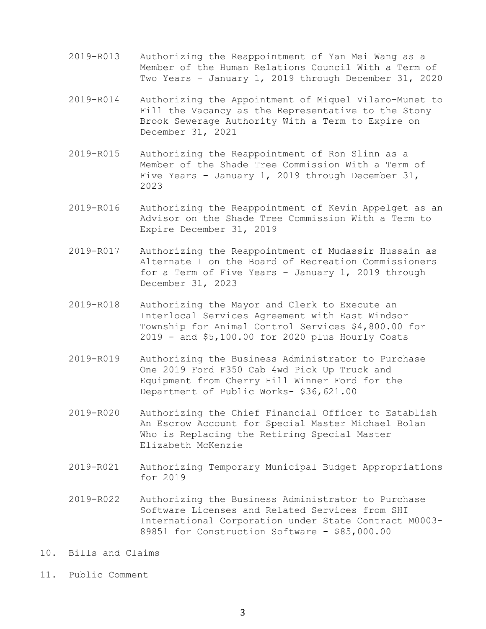- 2019-R013 Authorizing the Reappointment of Yan Mei Wang as a Member of the Human Relations Council With a Term of Two Years – January 1, 2019 through December 31, 2020
- 2019-R014 Authorizing the Appointment of Miquel Vilaro-Munet to Fill the Vacancy as the Representative to the Stony Brook Sewerage Authority With a Term to Expire on December 31, 2021
- 2019-R015 Authorizing the Reappointment of Ron Slinn as a Member of the Shade Tree Commission With a Term of Five Years – January 1, 2019 through December 31, 2023
- 2019-R016 Authorizing the Reappointment of Kevin Appelget as an Advisor on the Shade Tree Commission With a Term to Expire December 31, 2019
- 2019-R017 Authorizing the Reappointment of Mudassir Hussain as Alternate I on the Board of Recreation Commissioners for a Term of Five Years – January 1, 2019 through December 31, 2023
- 2019-R018 Authorizing the Mayor and Clerk to Execute an Interlocal Services Agreement with East Windsor Township for Animal Control Services \$4,800.00 for 2019 - and \$5,100.00 for 2020 plus Hourly Costs
- 2019-R019 Authorizing the Business Administrator to Purchase One 2019 Ford F350 Cab 4wd Pick Up Truck and Equipment from Cherry Hill Winner Ford for the Department of Public Works- \$36,621.00
- 2019-R020 Authorizing the Chief Financial Officer to Establish An Escrow Account for Special Master Michael Bolan Who is Replacing the Retiring Special Master Elizabeth McKenzie
- 2019-R021 Authorizing Temporary Municipal Budget Appropriations for 2019
- 2019-R022 Authorizing the Business Administrator to Purchase Software Licenses and Related Services from SHI International Corporation under State Contract M0003- 89851 for Construction Software - \$85,000.00
- 10. Bills and Claims
- 11. Public Comment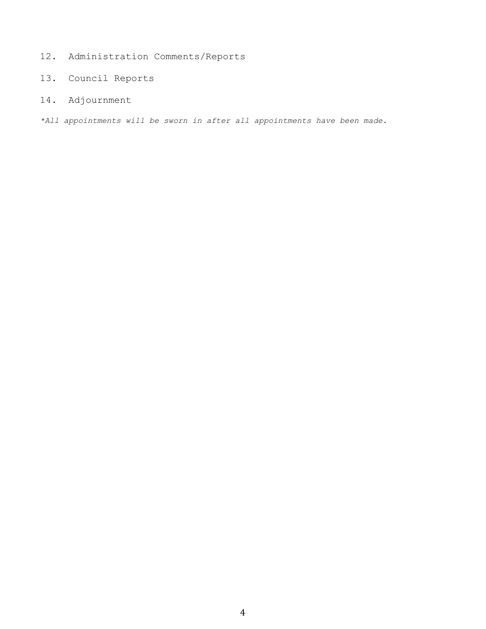- 12. Administration Comments/Reports
- 13. Council Reports
- 14. Adjournment

*\*All appointments will be sworn in after all appointments have been made*.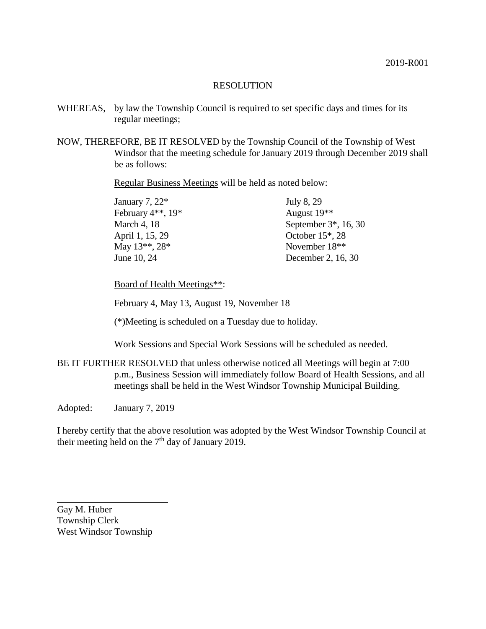- WHEREAS, by law the Township Council is required to set specific days and times for its regular meetings;
- NOW, THEREFORE, BE IT RESOLVED by the Township Council of the Township of West Windsor that the meeting schedule for January 2019 through December 2019 shall be as follows:

Regular Business Meetings will be held as noted below:

| January 7, 22*    | July 8, 29                |
|-------------------|---------------------------|
| February 4**, 19* | August 19 <sup>**</sup>   |
| March 4, 18       | September $3^*$ , 16, 30  |
| April 1, 15, 29   | October $15^*$ , 28       |
| May 13**, 28*     | November 18 <sup>**</sup> |
| June 10, 24       | December 2, 16, 30        |

Board of Health Meetings\*\*:

February 4, May 13, August 19, November 18

(\*)Meeting is scheduled on a Tuesday due to holiday.

Work Sessions and Special Work Sessions will be scheduled as needed.

BE IT FURTHER RESOLVED that unless otherwise noticed all Meetings will begin at 7:00 p.m., Business Session will immediately follow Board of Health Sessions, and all meetings shall be held in the West Windsor Township Municipal Building.

Adopted: January 7, 2019

I hereby certify that the above resolution was adopted by the West Windsor Township Council at their meeting held on the  $7<sup>th</sup>$  day of January 2019.

Gay M. Huber Township Clerk West Windsor Township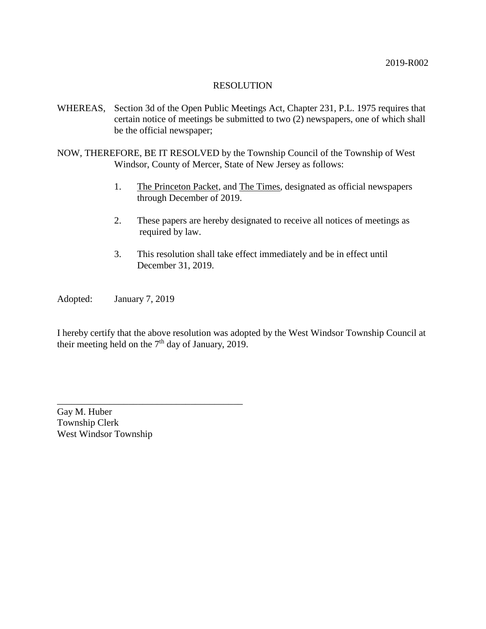- WHEREAS, Section 3d of the Open Public Meetings Act, Chapter 231, P.L. 1975 requires that certain notice of meetings be submitted to two (2) newspapers, one of which shall be the official newspaper;
- NOW, THEREFORE, BE IT RESOLVED by the Township Council of the Township of West Windsor, County of Mercer, State of New Jersey as follows:
	- 1. The Princeton Packet, and The Times, designated as official newspapers through December of 2019.
	- 2. These papers are hereby designated to receive all notices of meetings as required by law.
	- 3. This resolution shall take effect immediately and be in effect until December 31, 2019.

Adopted: January 7, 2019

I hereby certify that the above resolution was adopted by the West Windsor Township Council at their meeting held on the  $7<sup>th</sup>$  day of January, 2019.

Gay M. Huber Township Clerk West Windsor Township

\_\_\_\_\_\_\_\_\_\_\_\_\_\_\_\_\_\_\_\_\_\_\_\_\_\_\_\_\_\_\_\_\_\_\_\_\_\_\_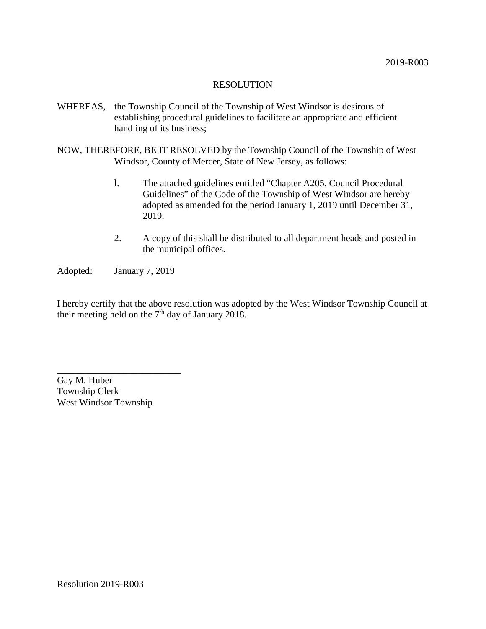- WHEREAS, the Township Council of the Township of West Windsor is desirous of establishing procedural guidelines to facilitate an appropriate and efficient handling of its business;
- NOW, THEREFORE, BE IT RESOLVED by the Township Council of the Township of West Windsor, County of Mercer, State of New Jersey, as follows:
	- l. The attached guidelines entitled "Chapter A205, Council Procedural Guidelines" of the Code of the Township of West Windsor are hereby adopted as amended for the period January 1, 2019 until December 31, 2019.
	- 2. A copy of this shall be distributed to all department heads and posted in the municipal offices.

Adopted: January 7, 2019

I hereby certify that the above resolution was adopted by the West Windsor Township Council at their meeting held on the  $7<sup>th</sup>$  day of January 2018.

Gay M. Huber Township Clerk West Windsor Township

\_\_\_\_\_\_\_\_\_\_\_\_\_\_\_\_\_\_\_\_\_\_\_\_\_\_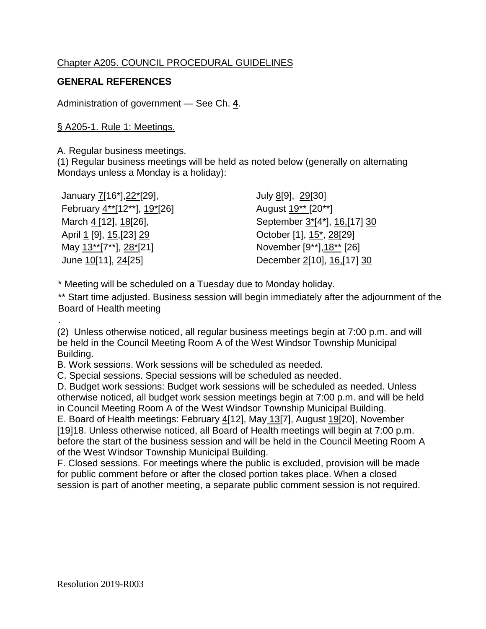# Chapter A205. COUNCIL PROCEDURAL GUIDELINES

# **GENERAL REFERENCES**

Administration of government — See Ch. **4**.

# § A205-1. Rule 1: Meetings.

A. Regular business meetings.

(1) Regular business meetings will be held as noted below (generally on alternating Mondays unless a Monday is a holiday):

| January 7[16*], 22*[29],    | July 8[9], 29[30]                           |
|-----------------------------|---------------------------------------------|
| February 4**[12**], 19*[26] | August 19 <sup>**</sup> [20 <sup>**</sup> ] |
| March 4 [12], 18[26],       | September 3*[4*], 16,[17] 30                |
| April 1 [9], 15, [23] 29    | October [1], 15*, 28[29]                    |
| May 13**[7**], 28*[21]      | November [9**], 18** [26]                   |
| June 10[11], 24[25]         | December 2[10], 16, [17] 30                 |

\* Meeting will be scheduled on a Tuesday due to Monday holiday.

\*\* Start time adjusted. Business session will begin immediately after the adjournment of the Board of Health meeting

(2) Unless otherwise noticed, all regular business meetings begin at 7:00 p.m. and will be held in the Council Meeting Room A of the West Windsor Township Municipal Building.

B. Work sessions. Work sessions will be scheduled as needed.

C. Special sessions. Special sessions will be scheduled as needed.

D. Budget work sessions: Budget work sessions will be scheduled as needed. Unless otherwise noticed, all budget work session meetings begin at 7:00 p.m. and will be held in Council Meeting Room A of the West Windsor Township Municipal Building.

E. Board of Health meetings: February 4[12], May 13[7], August 19[20], November [19] 18. Unless otherwise noticed, all Board of Health meetings will begin at 7:00 p.m. before the start of the business session and will be held in the Council Meeting Room A of the West Windsor Township Municipal Building.

F. Closed sessions. For meetings where the public is excluded, provision will be made for public comment before or after the closed portion takes place. When a closed session is part of another meeting, a separate public comment session is not required.

.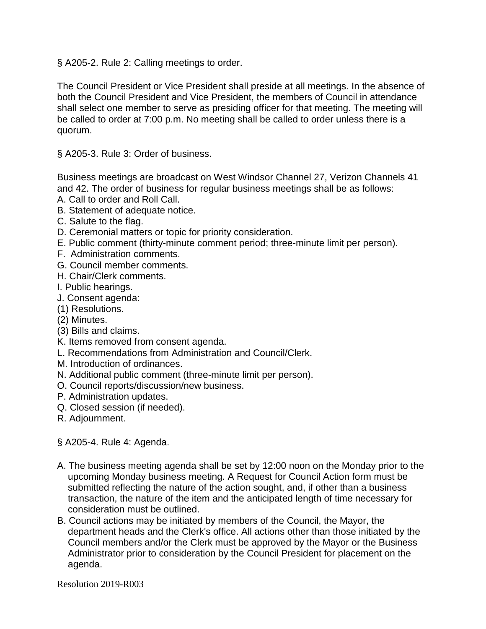§ A205-2. Rule 2: Calling meetings to order.

The Council President or Vice President shall preside at all meetings. In the absence of both the Council President and Vice President, the members of Council in attendance shall select one member to serve as presiding officer for that meeting. The meeting will be called to order at 7:00 p.m. No meeting shall be called to order unless there is a quorum.

§ A205-3. Rule 3: Order of business.

Business meetings are broadcast on West Windsor Channel 27, Verizon Channels 41 and 42. The order of business for regular business meetings shall be as follows:

- A. Call to order and Roll Call.
- B. Statement of adequate notice.
- C. Salute to the flag.
- D. Ceremonial matters or topic for priority consideration.
- E. Public comment (thirty-minute comment period; three-minute limit per person).
- F. Administration comments.
- G. Council member comments.
- H. Chair/Clerk comments.
- I. Public hearings.
- J. Consent agenda:
- (1) Resolutions.
- (2) Minutes.
- (3) Bills and claims.
- K. Items removed from consent agenda.
- L. Recommendations from Administration and Council/Clerk.
- M. Introduction of ordinances.
- N. Additional public comment (three-minute limit per person).
- O. Council reports/discussion/new business.
- P. Administration updates.
- Q. Closed session (if needed).
- R. Adjournment.
- § A205-4. Rule 4: Agenda.
- A. The business meeting agenda shall be set by 12:00 noon on the Monday prior to the upcoming Monday business meeting. A Request for Council Action form must be submitted reflecting the nature of the action sought, and, if other than a business transaction, the nature of the item and the anticipated length of time necessary for consideration must be outlined.
- B. Council actions may be initiated by members of the Council, the Mayor, the department heads and the Clerk's office. All actions other than those initiated by the Council members and/or the Clerk must be approved by the Mayor or the Business Administrator prior to consideration by the Council President for placement on the agenda.

Resolution 2019-R003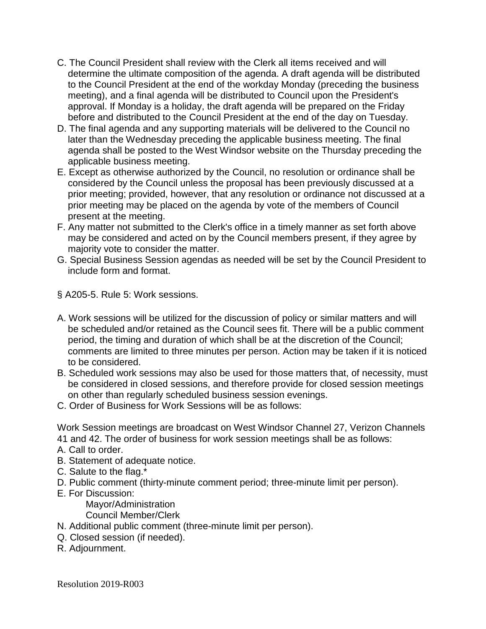- C. The Council President shall review with the Clerk all items received and will determine the ultimate composition of the agenda. A draft agenda will be distributed to the Council President at the end of the workday Monday (preceding the business meeting), and a final agenda will be distributed to Council upon the President's approval. If Monday is a holiday, the draft agenda will be prepared on the Friday before and distributed to the Council President at the end of the day on Tuesday.
- D. The final agenda and any supporting materials will be delivered to the Council no later than the Wednesday preceding the applicable business meeting. The final agenda shall be posted to the West Windsor website on the Thursday preceding the applicable business meeting.
- E. Except as otherwise authorized by the Council, no resolution or ordinance shall be considered by the Council unless the proposal has been previously discussed at a prior meeting; provided, however, that any resolution or ordinance not discussed at a prior meeting may be placed on the agenda by vote of the members of Council present at the meeting.
- F. Any matter not submitted to the Clerk's office in a timely manner as set forth above may be considered and acted on by the Council members present, if they agree by majority vote to consider the matter.
- G. Special Business Session agendas as needed will be set by the Council President to include form and format.
- § A205-5. Rule 5: Work sessions.
- A. Work sessions will be utilized for the discussion of policy or similar matters and will be scheduled and/or retained as the Council sees fit. There will be a public comment period, the timing and duration of which shall be at the discretion of the Council; comments are limited to three minutes per person. Action may be taken if it is noticed to be considered.
- B. Scheduled work sessions may also be used for those matters that, of necessity, must be considered in closed sessions, and therefore provide for closed session meetings on other than regularly scheduled business session evenings.
- C. Order of Business for Work Sessions will be as follows:

Work Session meetings are broadcast on West Windsor Channel 27, Verizon Channels 41 and 42. The order of business for work session meetings shall be as follows:

- A. Call to order.
- B. Statement of adequate notice.
- C. Salute to the flag.\*
- D. Public comment (thirty-minute comment period; three-minute limit per person).
- E. For Discussion:

Mayor/Administration

Council Member/Clerk

- N. Additional public comment (three-minute limit per person).
- Q. Closed session (if needed).
- R. Adjournment.

Resolution 2019-R003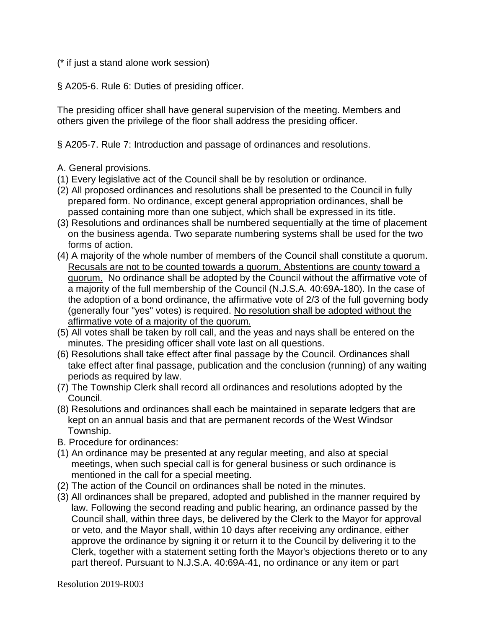(\* if just a stand alone work session)

§ A205-6. Rule 6: Duties of presiding officer.

The presiding officer shall have general supervision of the meeting. Members and others given the privilege of the floor shall address the presiding officer.

§ A205-7. Rule 7: Introduction and passage of ordinances and resolutions.

# A. General provisions.

- (1) Every legislative act of the Council shall be by resolution or ordinance.
- (2) All proposed ordinances and resolutions shall be presented to the Council in fully prepared form. No ordinance, except general appropriation ordinances, shall be passed containing more than one subject, which shall be expressed in its title.
- (3) Resolutions and ordinances shall be numbered sequentially at the time of placement on the business agenda. Two separate numbering systems shall be used for the two forms of action.
- (4) A majority of the whole number of members of the Council shall constitute a quorum. Recusals are not to be counted towards a quorum, Abstentions are county toward a quorum. No ordinance shall be adopted by the Council without the affirmative vote of a majority of the full membership of the Council (N.J.S.A. 40:69A-180). In the case of the adoption of a bond ordinance, the affirmative vote of 2/3 of the full governing body (generally four "yes" votes) is required. No resolution shall be adopted without the affirmative vote of a majority of the quorum.
- (5) All votes shall be taken by roll call, and the yeas and nays shall be entered on the minutes. The presiding officer shall vote last on all questions.
- (6) Resolutions shall take effect after final passage by the Council. Ordinances shall take effect after final passage, publication and the conclusion (running) of any waiting periods as required by law.
- (7) The Township Clerk shall record all ordinances and resolutions adopted by the Council.
- (8) Resolutions and ordinances shall each be maintained in separate ledgers that are kept on an annual basis and that are permanent records of the West Windsor Township.
- B. Procedure for ordinances:
- (1) An ordinance may be presented at any regular meeting, and also at special meetings, when such special call is for general business or such ordinance is mentioned in the call for a special meeting.
- (2) The action of the Council on ordinances shall be noted in the minutes.
- (3) All ordinances shall be prepared, adopted and published in the manner required by law. Following the second reading and public hearing, an ordinance passed by the Council shall, within three days, be delivered by the Clerk to the Mayor for approval or veto, and the Mayor shall, within 10 days after receiving any ordinance, either approve the ordinance by signing it or return it to the Council by delivering it to the Clerk, together with a statement setting forth the Mayor's objections thereto or to any part thereof. Pursuant to N.J.S.A. 40:69A-41, no ordinance or any item or part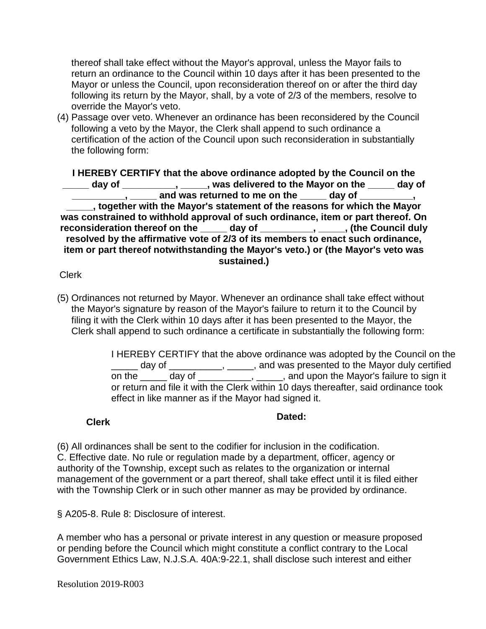thereof shall take effect without the Mayor's approval, unless the Mayor fails to return an ordinance to the Council within 10 days after it has been presented to the Mayor or unless the Council, upon reconsideration thereof on or after the third day following its return by the Mayor, shall, by a vote of 2/3 of the members, resolve to override the Mayor's veto.

(4) Passage over veto. Whenever an ordinance has been reconsidered by the Council following a veto by the Mayor, the Clerk shall append to such ordinance a certification of the action of the Council upon such reconsideration in substantially the following form:

**I HEREBY CERTIFY that the above ordinance adopted by the Council on the \_\_\_\_\_ day of \_\_\_\_\_\_\_\_\_\_, \_\_\_\_\_, was delivered to the Mayor on the \_\_\_\_\_ day of <u>\_\_\_\_\_\_\_\_\_\_\_</u>, \_\_\_\_\_\_ and was returned to me on the \_\_\_\_\_ day of \_\_\_\_\_\_\_\_\_, \_\_\_\_\_, together with the Mayor's statement of the reasons for which the Mayor was constrained to withhold approval of such ordinance, item or part thereof. On reconsideration thereof on the \_\_\_\_\_ day of \_\_\_\_\_\_\_\_\_\_, \_\_\_\_\_, (the Council duly resolved by the affirmative vote of 2/3 of its members to enact such ordinance, item or part thereof notwithstanding the Mayor's veto.) or (the Mayor's veto was sustained.)** 

# Clerk

(5) Ordinances not returned by Mayor. Whenever an ordinance shall take effect without the Mayor's signature by reason of the Mayor's failure to return it to the Council by filing it with the Clerk within 10 days after it has been presented to the Mayor, the Clerk shall append to such ordinance a certificate in substantially the following form:

> I HEREBY CERTIFY that the above ordinance was adopted by the Council on the day of \_\_\_\_\_\_\_\_, \_\_\_\_, and was presented to the Mayor duly certified on the \_\_\_\_\_ day of \_\_\_\_\_\_\_\_\_, \_\_\_\_\_, and upon the Mayor's failure to sign it or return and file it with the Clerk within 10 days thereafter, said ordinance took effect in like manner as if the Mayor had signed it.

# **Clerk Dated:**

(6) All ordinances shall be sent to the codifier for inclusion in the codification. C. Effective date. No rule or regulation made by a department, officer, agency or authority of the Township, except such as relates to the organization or internal management of the government or a part thereof, shall take effect until it is filed either with the Township Clerk or in such other manner as may be provided by ordinance.

§ A205-8. Rule 8: Disclosure of interest.

A member who has a personal or private interest in any question or measure proposed or pending before the Council which might constitute a conflict contrary to the Local Government Ethics Law, N.J.S.A. 40A:9-22.1, shall disclose such interest and either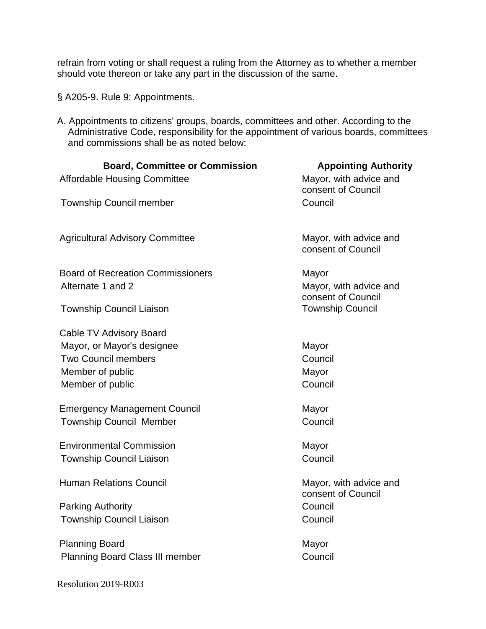refrain from voting or shall request a ruling from the Attorney as to whether a member should vote thereon or take any part in the discussion of the same.

- § A205-9. Rule 9: Appointments.
- A. Appointments to citizens' groups, boards, committees and other. According to the Administrative Code, responsibility for the appointment of various boards, committees and commissions shall be as noted below:

| <b>Board, Committee or Commission</b><br><b>Affordable Housing Committee</b> | <b>Appointing Authority</b><br>Mayor, with advice and<br>consent of Council |
|------------------------------------------------------------------------------|-----------------------------------------------------------------------------|
| <b>Township Council member</b>                                               | Council                                                                     |
| <b>Agricultural Advisory Committee</b>                                       | Mayor, with advice and<br>consent of Council                                |
| <b>Board of Recreation Commissioners</b><br>Alternate 1 and 2                | Mayor<br>Mayor, with advice and<br>consent of Council                       |
| <b>Township Council Liaison</b>                                              | <b>Township Council</b>                                                     |
| Cable TV Advisory Board                                                      |                                                                             |
| Mayor, or Mayor's designee                                                   | Mayor                                                                       |
| <b>Two Council members</b>                                                   | Council                                                                     |
| Member of public                                                             | Mayor                                                                       |
| Member of public                                                             | Council                                                                     |
| <b>Emergency Management Council</b>                                          | Mayor                                                                       |
| <b>Township Council Member</b>                                               | Council                                                                     |
| <b>Environmental Commission</b>                                              | Mayor                                                                       |
| <b>Township Council Liaison</b>                                              | Council                                                                     |
| <b>Human Relations Council</b>                                               | Mayor, with advice and<br>consent of Council                                |
| <b>Parking Authority</b>                                                     | Council                                                                     |
| <b>Township Council Liaison</b>                                              | Council                                                                     |
| <b>Planning Board</b>                                                        | Mayor                                                                       |
| <b>Planning Board Class III member</b>                                       | Council                                                                     |

Resolution 2019-R003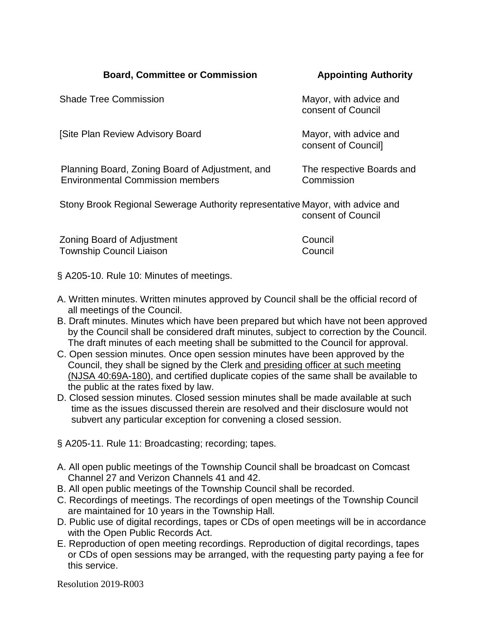| <b>Shade Tree Commission</b>                                                               | Mayor, with advice and<br>consent of Council  |
|--------------------------------------------------------------------------------------------|-----------------------------------------------|
| [Site Plan Review Advisory Board                                                           | Mayor, with advice and<br>consent of Council] |
| Planning Board, Zoning Board of Adjustment, and<br><b>Environmental Commission members</b> | The respective Boards and<br>Commission       |
| Stony Brook Regional Sewerage Authority representative Mayor, with advice and              | consent of Council                            |

| Zoning Board of Adjustment | Council |
|----------------------------|---------|
| Township Council Liaison   | Council |

§ A205-10. Rule 10: Minutes of meetings.

- A. Written minutes. Written minutes approved by Council shall be the official record of all meetings of the Council.
- B. Draft minutes. Minutes which have been prepared but which have not been approved by the Council shall be considered draft minutes, subject to correction by the Council. The draft minutes of each meeting shall be submitted to the Council for approval.
- C. Open session minutes. Once open session minutes have been approved by the Council, they shall be signed by the Clerk and presiding officer at such meeting (NJSA 40:69A-180), and certified duplicate copies of the same shall be available to the public at the rates fixed by law.
- D. Closed session minutes. Closed session minutes shall be made available at such time as the issues discussed therein are resolved and their disclosure would not subvert any particular exception for convening a closed session.
- § A205-11. Rule 11: Broadcasting; recording; tapes.
- A. All open public meetings of the Township Council shall be broadcast on Comcast Channel 27 and Verizon Channels 41 and 42.
- B. All open public meetings of the Township Council shall be recorded.
- C. Recordings of meetings. The recordings of open meetings of the Township Council are maintained for 10 years in the Township Hall.
- D. Public use of digital recordings, tapes or CDs of open meetings will be in accordance with the Open Public Records Act.
- E. Reproduction of open meeting recordings. Reproduction of digital recordings, tapes or CDs of open sessions may be arranged, with the requesting party paying a fee for this service.

Resolution 2019-R003

# **Board, Committee or Commission Manual Appointing Authority**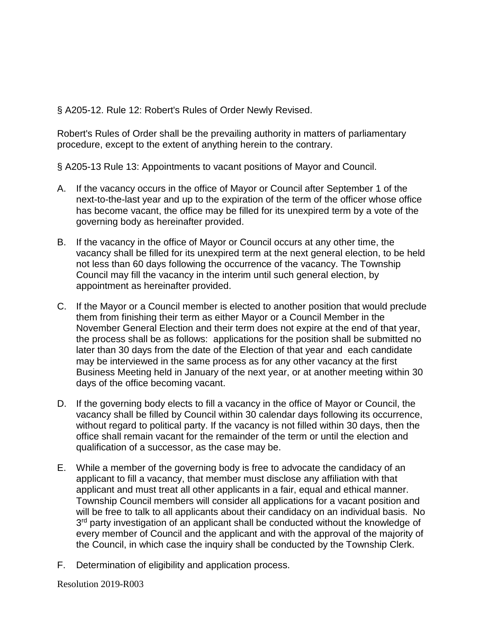§ A205-12. Rule 12: Robert's Rules of Order Newly Revised.

Robert's Rules of Order shall be the prevailing authority in matters of parliamentary procedure, except to the extent of anything herein to the contrary.

§ A205-13 Rule 13: Appointments to vacant positions of Mayor and Council.

- A. If the vacancy occurs in the office of Mayor or Council after September 1 of the next-to-the-last year and up to the expiration of the term of the officer whose office has become vacant, the office may be filled for its unexpired term by a vote of the governing body as hereinafter provided.
- B. If the vacancy in the office of Mayor or Council occurs at any other time, the vacancy shall be filled for its unexpired term at the next general election, to be held not less than 60 days following the occurrence of the vacancy. The Township Council may fill the vacancy in the interim until such general election, by appointment as hereinafter provided.
- C. If the Mayor or a Council member is elected to another position that would preclude them from finishing their term as either Mayor or a Council Member in the November General Election and their term does not expire at the end of that year, the process shall be as follows: applications for the position shall be submitted no later than 30 days from the date of the Election of that year and each candidate may be interviewed in the same process as for any other vacancy at the first Business Meeting held in January of the next year, or at another meeting within 30 days of the office becoming vacant.
- D. If the governing body elects to fill a vacancy in the office of Mayor or Council, the vacancy shall be filled by Council within 30 calendar days following its occurrence, without regard to political party. If the vacancy is not filled within 30 days, then the office shall remain vacant for the remainder of the term or until the election and qualification of a successor, as the case may be.
- E. While a member of the governing body is free to advocate the candidacy of an applicant to fill a vacancy, that member must disclose any affiliation with that applicant and must treat all other applicants in a fair, equal and ethical manner. Township Council members will consider all applications for a vacant position and will be free to talk to all applicants about their candidacy on an individual basis. No 3<sup>rd</sup> party investigation of an applicant shall be conducted without the knowledge of every member of Council and the applicant and with the approval of the majority of the Council, in which case the inquiry shall be conducted by the Township Clerk.
- F. Determination of eligibility and application process.

Resolution 2019-R003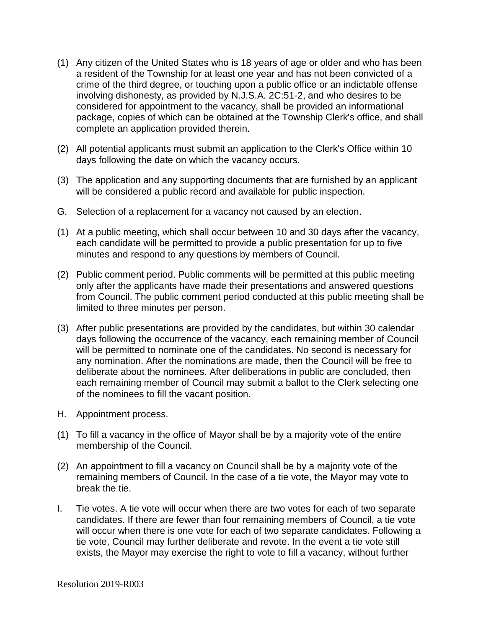- (1) Any citizen of the United States who is 18 years of age or older and who has been a resident of the Township for at least one year and has not been convicted of a crime of the third degree, or touching upon a public office or an indictable offense involving dishonesty, as provided by N.J.S.A. 2C:51-2, and who desires to be considered for appointment to the vacancy, shall be provided an informational package, copies of which can be obtained at the Township Clerk's office, and shall complete an application provided therein.
- (2) All potential applicants must submit an application to the Clerk's Office within 10 days following the date on which the vacancy occurs.
- (3) The application and any supporting documents that are furnished by an applicant will be considered a public record and available for public inspection.
- G. Selection of a replacement for a vacancy not caused by an election.
- (1) At a public meeting, which shall occur between 10 and 30 days after the vacancy, each candidate will be permitted to provide a public presentation for up to five minutes and respond to any questions by members of Council.
- (2) Public comment period. Public comments will be permitted at this public meeting only after the applicants have made their presentations and answered questions from Council. The public comment period conducted at this public meeting shall be limited to three minutes per person.
- (3) After public presentations are provided by the candidates, but within 30 calendar days following the occurrence of the vacancy, each remaining member of Council will be permitted to nominate one of the candidates. No second is necessary for any nomination. After the nominations are made, then the Council will be free to deliberate about the nominees. After deliberations in public are concluded, then each remaining member of Council may submit a ballot to the Clerk selecting one of the nominees to fill the vacant position.
- H. Appointment process.
- (1) To fill a vacancy in the office of Mayor shall be by a majority vote of the entire membership of the Council.
- (2) An appointment to fill a vacancy on Council shall be by a majority vote of the remaining members of Council. In the case of a tie vote, the Mayor may vote to break the tie.
- I. Tie votes. A tie vote will occur when there are two votes for each of two separate candidates. If there are fewer than four remaining members of Council, a tie vote will occur when there is one vote for each of two separate candidates. Following a tie vote, Council may further deliberate and revote. In the event a tie vote still exists, the Mayor may exercise the right to vote to fill a vacancy, without further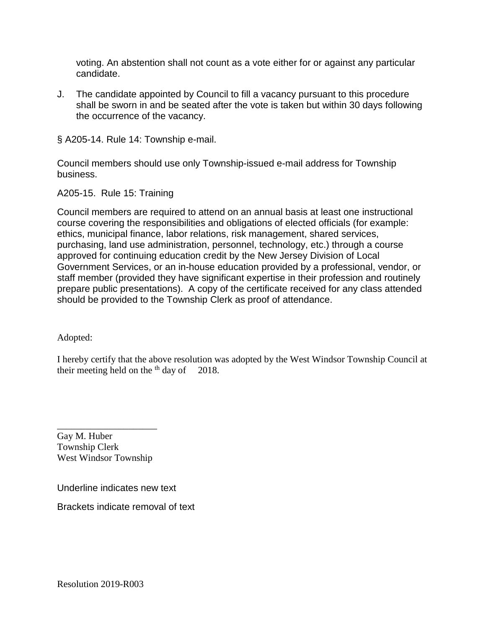voting. An abstention shall not count as a vote either for or against any particular candidate.

J. The candidate appointed by Council to fill a vacancy pursuant to this procedure shall be sworn in and be seated after the vote is taken but within 30 days following the occurrence of the vacancy.

§ A205-14. Rule 14: Township e-mail.

Council members should use only Township-issued e-mail address for Township business.

A205-15. Rule 15: Training

Council members are required to attend on an annual basis at least one instructional course covering the responsibilities and obligations of elected officials (for example: ethics, municipal finance, labor relations, risk management, shared services, purchasing, land use administration, personnel, technology, etc.) through a course approved for continuing education credit by the New Jersey Division of Local Government Services, or an in-house education provided by a professional, vendor, or staff member (provided they have significant expertise in their profession and routinely prepare public presentations). A copy of the certificate received for any class attended should be provided to the Township Clerk as proof of attendance.

Adopted:

I hereby certify that the above resolution was adopted by the West Windsor Township Council at their meeting held on the  $<sup>th</sup>$  day of 2018.</sup>

Gay M. Huber Township Clerk West Windsor Township

\_\_\_\_\_\_\_\_\_\_\_\_\_\_\_\_\_\_\_\_\_

Underline indicates new text

Brackets indicate removal of text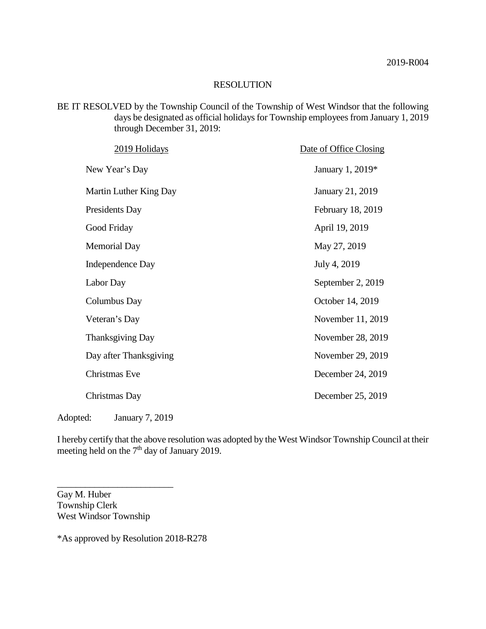BE IT RESOLVED by the Township Council of the Township of West Windsor that the following days be designated as official holidays for Township employees from January 1, 2019 through December 31, 2019:

| 2019 Holidays           | Date of Office Closing  |
|-------------------------|-------------------------|
| New Year's Day          | January 1, 2019*        |
| Martin Luther King Day  | <b>January 21, 2019</b> |
| Presidents Day          | February 18, 2019       |
| Good Friday             | April 19, 2019          |
| <b>Memorial Day</b>     | May 27, 2019            |
| Independence Day        | July 4, 2019            |
| Labor Day               | September 2, 2019       |
| Columbus Day            | October 14, 2019        |
| Veteran's Day           | November 11, 2019       |
| <b>Thanksgiving Day</b> | November 28, 2019       |
| Day after Thanksgiving  | November 29, 2019       |
| <b>Christmas Eve</b>    | December 24, 2019       |
| Christmas Day           | December 25, 2019       |
|                         |                         |

Adopted: January 7, 2019

\_\_\_\_\_\_\_\_\_\_\_\_\_\_\_\_\_\_\_\_\_\_\_\_\_

I hereby certify that the above resolution was adopted by the West Windsor Township Council at their meeting held on the  $7<sup>th</sup>$  day of January 2019.

Gay M. Huber Township Clerk West Windsor Township

\*As approved by Resolution 2018-R278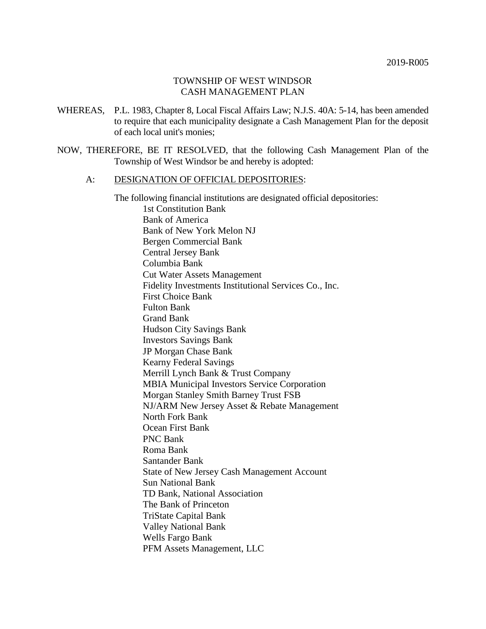#### TOWNSHIP OF WEST WINDSOR CASH MANAGEMENT PLAN

- WHEREAS, P.L. 1983, Chapter 8, Local Fiscal Affairs Law; N.J.S. 40A: 5-14, has been amended to require that each municipality designate a Cash Management Plan for the deposit of each local unit's monies;
- NOW, THEREFORE, BE IT RESOLVED, that the following Cash Management Plan of the Township of West Windsor be and hereby is adopted:

#### A: DESIGNATION OF OFFICIAL DEPOSITORIES:

The following financial institutions are designated official depositories:

1st Constitution Bank Bank of America Bank of New York Melon NJ Bergen Commercial Bank Central Jersey Bank Columbia Bank Cut Water Assets Management Fidelity Investments Institutional Services Co., Inc. First Choice Bank Fulton Bank Grand Bank Hudson City Savings Bank Investors Savings Bank JP Morgan Chase Bank Kearny Federal Savings Merrill Lynch Bank & Trust Company MBIA Municipal Investors Service Corporation Morgan Stanley Smith Barney Trust FSB NJ/ARM New Jersey Asset & Rebate Management North Fork Bank Ocean First Bank PNC Bank Roma Bank Santander Bank State of New Jersey Cash Management Account Sun National Bank TD Bank, National Association The Bank of Princeton TriState Capital Bank Valley National Bank Wells Fargo Bank PFM Assets Management, LLC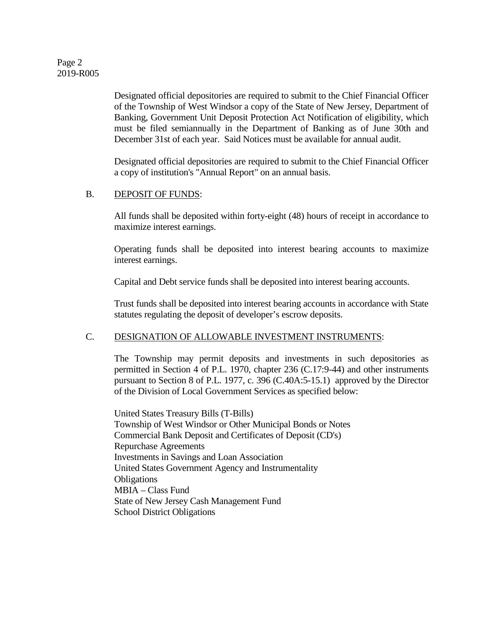# Page 2 2019-R005

Designated official depositories are required to submit to the Chief Financial Officer of the Township of West Windsor a copy of the State of New Jersey, Department of Banking, Government Unit Deposit Protection Act Notification of eligibility, which must be filed semiannually in the Department of Banking as of June 30th and December 31st of each year. Said Notices must be available for annual audit.

Designated official depositories are required to submit to the Chief Financial Officer a copy of institution's "Annual Report" on an annual basis.

#### B. DEPOSIT OF FUNDS:

All funds shall be deposited within forty-eight (48) hours of receipt in accordance to maximize interest earnings.

Operating funds shall be deposited into interest bearing accounts to maximize interest earnings.

Capital and Debt service funds shall be deposited into interest bearing accounts.

Trust funds shall be deposited into interest bearing accounts in accordance with State statutes regulating the deposit of developer's escrow deposits.

# C. DESIGNATION OF ALLOWABLE INVESTMENT INSTRUMENTS:

The Township may permit deposits and investments in such depositories as permitted in Section 4 of P.L. 1970, chapter 236 (C.17:9-44) and other instruments pursuant to Section 8 of P.L. 1977, c. 396 (C.40A:5-15.1) approved by the Director of the Division of Local Government Services as specified below:

United States Treasury Bills (T-Bills) Township of West Windsor or Other Municipal Bonds or Notes Commercial Bank Deposit and Certificates of Deposit (CD's) Repurchase Agreements Investments in Savings and Loan Association United States Government Agency and Instrumentality **Obligations** MBIA – Class Fund State of New Jersey Cash Management Fund School District Obligations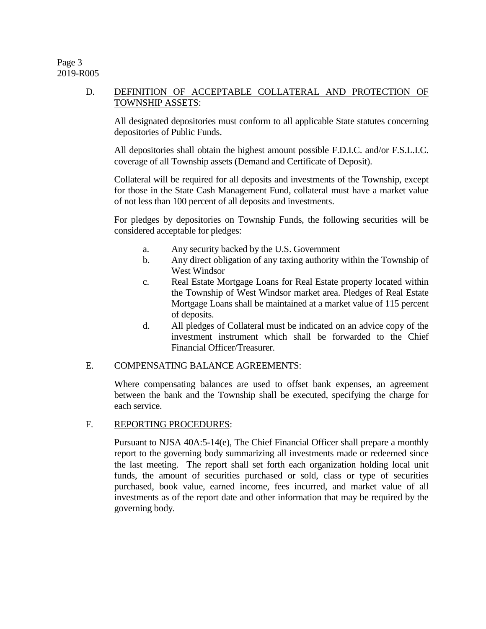#### Page 3 2019-R005

# D. DEFINITION OF ACCEPTABLE COLLATERAL AND PROTECTION OF TOWNSHIP ASSETS:

All designated depositories must conform to all applicable State statutes concerning depositories of Public Funds.

All depositories shall obtain the highest amount possible F.D.I.C. and/or F.S.L.I.C. coverage of all Township assets (Demand and Certificate of Deposit).

Collateral will be required for all deposits and investments of the Township, except for those in the State Cash Management Fund, collateral must have a market value of not less than 100 percent of all deposits and investments.

For pledges by depositories on Township Funds, the following securities will be considered acceptable for pledges:

- a. Any security backed by the U.S. Government
- b. Any direct obligation of any taxing authority within the Township of West Windsor
- c. Real Estate Mortgage Loans for Real Estate property located within the Township of West Windsor market area. Pledges of Real Estate Mortgage Loans shall be maintained at a market value of 115 percent of deposits.
- d. All pledges of Collateral must be indicated on an advice copy of the investment instrument which shall be forwarded to the Chief Financial Officer/Treasurer.

# E. COMPENSATING BALANCE AGREEMENTS:

Where compensating balances are used to offset bank expenses, an agreement between the bank and the Township shall be executed, specifying the charge for each service.

# F. REPORTING PROCEDURES:

Pursuant to NJSA 40A:5-14(e), The Chief Financial Officer shall prepare a monthly report to the governing body summarizing all investments made or redeemed since the last meeting. The report shall set forth each organization holding local unit funds, the amount of securities purchased or sold, class or type of securities purchased, book value, earned income, fees incurred, and market value of all investments as of the report date and other information that may be required by the governing body.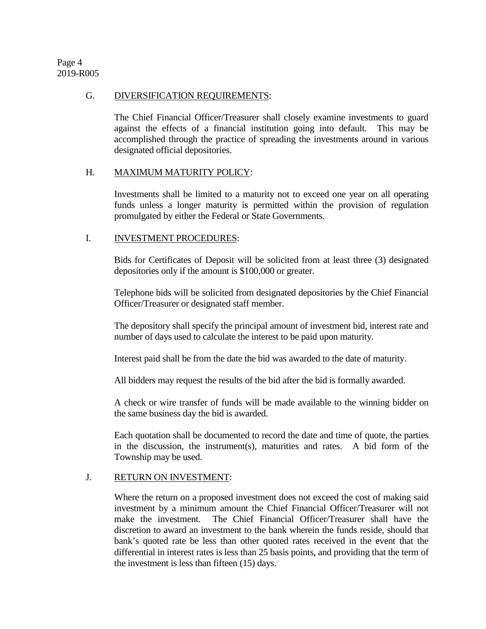Page 4 2019-R005

#### G. DIVERSIFICATION REQUIREMENTS:

The Chief Financial Officer/Treasurer shall closely examine investments to guard against the effects of a financial institution going into default. This may be accomplished through the practice of spreading the investments around in various designated official depositories.

#### H. MAXIMUM MATURITY POLICY:

Investments shall be limited to a maturity not to exceed one year on all operating funds unless a longer maturity is permitted within the provision of regulation promulgated by either the Federal or State Governments.

# I. INVESTMENT PROCEDURES:

Bids for Certificates of Deposit will be solicited from at least three (3) designated depositories only if the amount is \$100,000 or greater.

Telephone bids will be solicited from designated depositories by the Chief Financial Officer/Treasurer or designated staff member.

The depository shall specify the principal amount of investment bid, interest rate and number of days used to calculate the interest to be paid upon maturity.

Interest paid shall be from the date the bid was awarded to the date of maturity.

All bidders may request the results of the bid after the bid is formally awarded.

A check or wire transfer of funds will be made available to the winning bidder on the same business day the bid is awarded.

Each quotation shall be documented to record the date and time of quote, the parties in the discussion, the instrument(s), maturities and rates. A bid form of the Township may be used.

# J. RETURN ON INVESTMENT:

Where the return on a proposed investment does not exceed the cost of making said investment by a minimum amount the Chief Financial Officer/Treasurer will not make the investment. The Chief Financial Officer/Treasurer shall have the discretion to award an investment to the bank wherein the funds reside, should that bank's quoted rate be less than other quoted rates received in the event that the differential in interest rates is less than 25 basis points, and providing that the term of the investment is less than fifteen (15) days.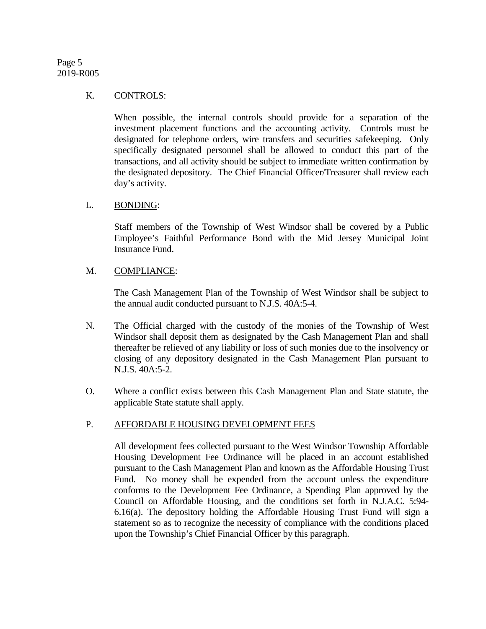# Page 5 2019-R005

#### K. CONTROLS:

When possible, the internal controls should provide for a separation of the investment placement functions and the accounting activity. Controls must be designated for telephone orders, wire transfers and securities safekeeping. Only specifically designated personnel shall be allowed to conduct this part of the transactions, and all activity should be subject to immediate written confirmation by the designated depository. The Chief Financial Officer/Treasurer shall review each day's activity.

#### L. BONDING:

Staff members of the Township of West Windsor shall be covered by a Public Employee's Faithful Performance Bond with the Mid Jersey Municipal Joint Insurance Fund.

# M. COMPLIANCE:

The Cash Management Plan of the Township of West Windsor shall be subject to the annual audit conducted pursuant to N.J.S. 40A:5-4.

- N. The Official charged with the custody of the monies of the Township of West Windsor shall deposit them as designated by the Cash Management Plan and shall thereafter be relieved of any liability or loss of such monies due to the insolvency or closing of any depository designated in the Cash Management Plan pursuant to N.J.S. 40A:5-2.
- O. Where a conflict exists between this Cash Management Plan and State statute, the applicable State statute shall apply.

# P. AFFORDABLE HOUSING DEVELOPMENT FEES

All development fees collected pursuant to the West Windsor Township Affordable Housing Development Fee Ordinance will be placed in an account established pursuant to the Cash Management Plan and known as the Affordable Housing Trust Fund. No money shall be expended from the account unless the expenditure conforms to the Development Fee Ordinance, a Spending Plan approved by the Council on Affordable Housing, and the conditions set forth in N.J.A.C. 5:94- 6.16(a). The depository holding the Affordable Housing Trust Fund will sign a statement so as to recognize the necessity of compliance with the conditions placed upon the Township's Chief Financial Officer by this paragraph.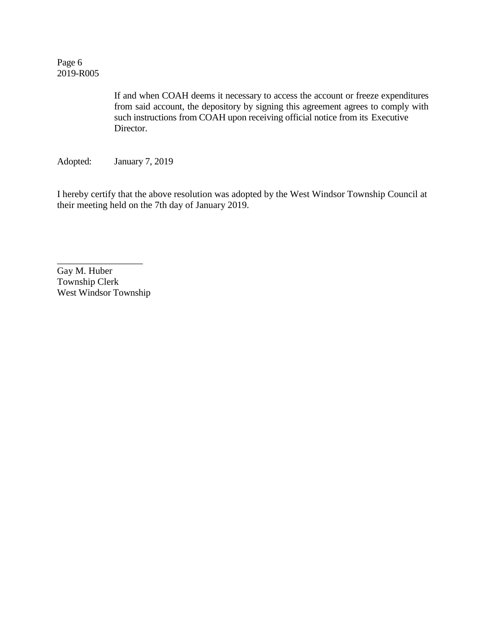Page 6 2019-R005

> If and when COAH deems it necessary to access the account or freeze expenditures from said account, the depository by signing this agreement agrees to comply with such instructions from COAH upon receiving official notice from its Executive Director.

Adopted: January 7, 2019

I hereby certify that the above resolution was adopted by the West Windsor Township Council at their meeting held on the 7th day of January 2019.

Gay M. Huber Township Clerk West Windsor Township

\_\_\_\_\_\_\_\_\_\_\_\_\_\_\_\_\_\_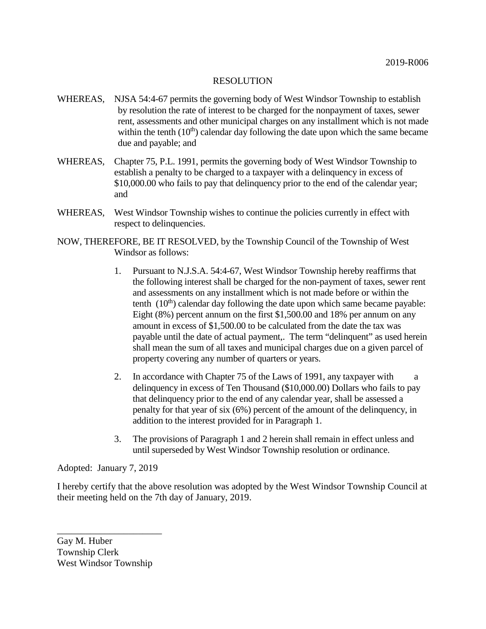- WHEREAS, NJSA 54:4-67 permits the governing body of West Windsor Township to establish by resolution the rate of interest to be charged for the nonpayment of taxes, sewer rent, assessments and other municipal charges on any installment which is not made within the tenth  $(10<sup>th</sup>)$  calendar day following the date upon which the same became due and payable; and
- WHEREAS, Chapter 75, P.L. 1991, permits the governing body of West Windsor Township to establish a penalty to be charged to a taxpayer with a delinquency in excess of \$10,000.00 who fails to pay that delinquency prior to the end of the calendar year; and
- WHEREAS, West Windsor Township wishes to continue the policies currently in effect with respect to delinquencies.
- NOW, THEREFORE, BE IT RESOLVED, by the Township Council of the Township of West Windsor as follows:
	- 1. Pursuant to N.J.S.A. 54:4-67, West Windsor Township hereby reaffirms that the following interest shall be charged for the non-payment of taxes, sewer rent and assessments on any installment which is not made before or within the tenth  $(10<sup>th</sup>)$  calendar day following the date upon which same became payable: Eight (8%) percent annum on the first \$1,500.00 and 18% per annum on any amount in excess of \$1,500.00 to be calculated from the date the tax was payable until the date of actual payment,. The term "delinquent" as used herein shall mean the sum of all taxes and municipal charges due on a given parcel of property covering any number of quarters or years.
	- 2. In accordance with Chapter 75 of the Laws of 1991, any taxpayer with a delinquency in excess of Ten Thousand (\$10,000.00) Dollars who fails to pay that delinquency prior to the end of any calendar year, shall be assessed a penalty for that year of six (6%) percent of the amount of the delinquency, in addition to the interest provided for in Paragraph 1.
	- 3. The provisions of Paragraph 1 and 2 herein shall remain in effect unless and until superseded by West Windsor Township resolution or ordinance.

Adopted: January 7, 2019

I hereby certify that the above resolution was adopted by the West Windsor Township Council at their meeting held on the 7th day of January, 2019.

Gay M. Huber Township Clerk West Windsor Township

\_\_\_\_\_\_\_\_\_\_\_\_\_\_\_\_\_\_\_\_\_\_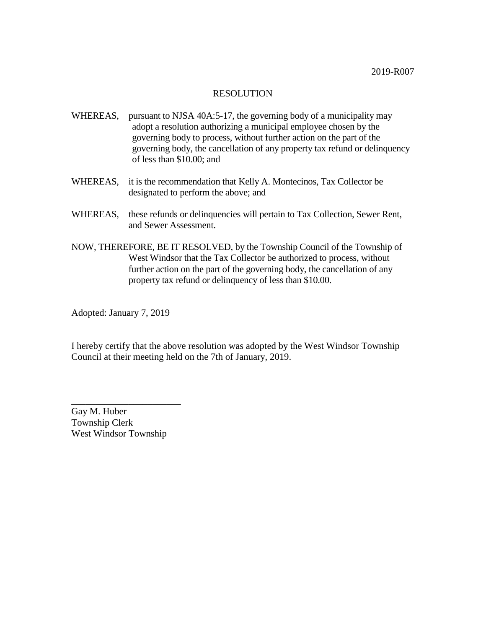- WHEREAS, pursuant to NJSA 40A:5-17, the governing body of a municipality may adopt a resolution authorizing a municipal employee chosen by the governing body to process, without further action on the part of the governing body, the cancellation of any property tax refund or delinquency of less than \$10.00; and
- WHEREAS, it is the recommendation that Kelly A. Montecinos, Tax Collector be designated to perform the above; and
- WHEREAS, these refunds or delinquencies will pertain to Tax Collection, Sewer Rent, and Sewer Assessment.
- NOW, THEREFORE, BE IT RESOLVED, by the Township Council of the Township of West Windsor that the Tax Collector be authorized to process, without further action on the part of the governing body, the cancellation of any property tax refund or delinquency of less than \$10.00.

Adopted: January 7, 2019

I hereby certify that the above resolution was adopted by the West Windsor Township Council at their meeting held on the 7th of January, 2019.

Gay M. Huber Township Clerk West Windsor Township

\_\_\_\_\_\_\_\_\_\_\_\_\_\_\_\_\_\_\_\_\_\_\_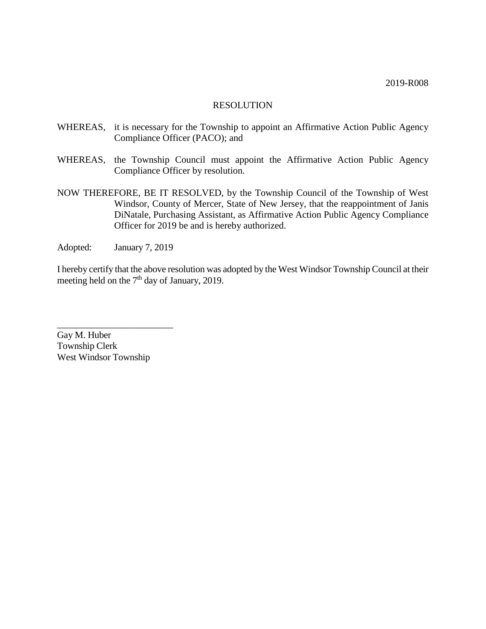- WHEREAS, it is necessary for the Township to appoint an Affirmative Action Public Agency Compliance Officer (PACO); and
- WHEREAS, the Township Council must appoint the Affirmative Action Public Agency Compliance Officer by resolution.
- NOW THEREFORE, BE IT RESOLVED, by the Township Council of the Township of West Windsor, County of Mercer, State of New Jersey, that the reappointment of Janis DiNatale, Purchasing Assistant, as Affirmative Action Public Agency Compliance Officer for 2019 be and is hereby authorized.
- Adopted: January 7, 2019

\_\_\_\_\_\_\_\_\_\_\_\_\_\_\_\_\_\_\_\_\_\_\_\_\_

I hereby certify that the above resolution was adopted by the West Windsor Township Council at their meeting held on the  $7<sup>th</sup>$  day of January, 2019.

Gay M. Huber Township Clerk West Windsor Township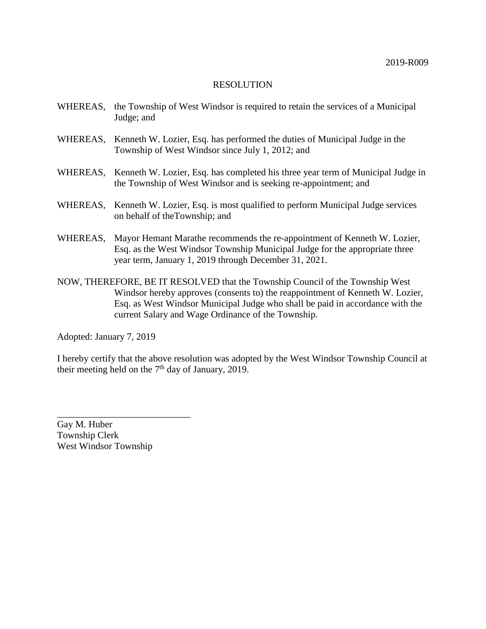- WHEREAS, the Township of West Windsor is required to retain the services of a Municipal Judge; and
- WHEREAS, Kenneth W. Lozier, Esq. has performed the duties of Municipal Judge in the Township of West Windsor since July 1, 2012; and
- WHEREAS, Kenneth W. Lozier, Esq. has completed his three year term of Municipal Judge in the Township of West Windsor and is seeking re-appointment; and
- WHEREAS, Kenneth W. Lozier, Esq. is most qualified to perform Municipal Judge services on behalf of theTownship; and
- WHEREAS, Mayor Hemant Marathe recommends the re-appointment of Kenneth W. Lozier, Esq. as the West Windsor Township Municipal Judge for the appropriate three year term, January 1, 2019 through December 31, 2021.
- NOW, THEREFORE, BE IT RESOLVED that the Township Council of the Township West Windsor hereby approves (consents to) the reappointment of Kenneth W. Lozier, Esq. as West Windsor Municipal Judge who shall be paid in accordance with the current Salary and Wage Ordinance of the Township.

Adopted: January 7, 2019

I hereby certify that the above resolution was adopted by the West Windsor Township Council at their meeting held on the  $7<sup>th</sup>$  day of January, 2019.

Gay M. Huber Township Clerk West Windsor Township

\_\_\_\_\_\_\_\_\_\_\_\_\_\_\_\_\_\_\_\_\_\_\_\_\_\_\_\_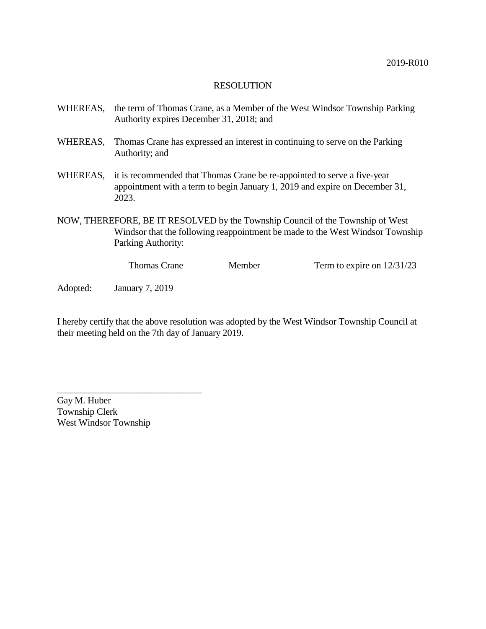- WHEREAS, the term of Thomas Crane, as a Member of the West Windsor Township Parking Authority expires December 31, 2018; and
- WHEREAS, Thomas Crane has expressed an interest in continuing to serve on the Parking Authority; and
- WHEREAS, it is recommended that Thomas Crane be re-appointed to serve a five-year appointment with a term to begin January 1, 2019 and expire on December 31, 2023.
- NOW, THEREFORE, BE IT RESOLVED by the Township Council of the Township of West Windsor that the following reappointment be made to the West Windsor Township Parking Authority:

Thomas Crane Member Term to expire on  $12/31/23$ 

Adopted: January 7, 2019

I hereby certify that the above resolution was adopted by the West Windsor Township Council at their meeting held on the 7th day of January 2019.

Gay M. Huber Township Clerk West Windsor Township

\_\_\_\_\_\_\_\_\_\_\_\_\_\_\_\_\_\_\_\_\_\_\_\_\_\_\_\_\_\_\_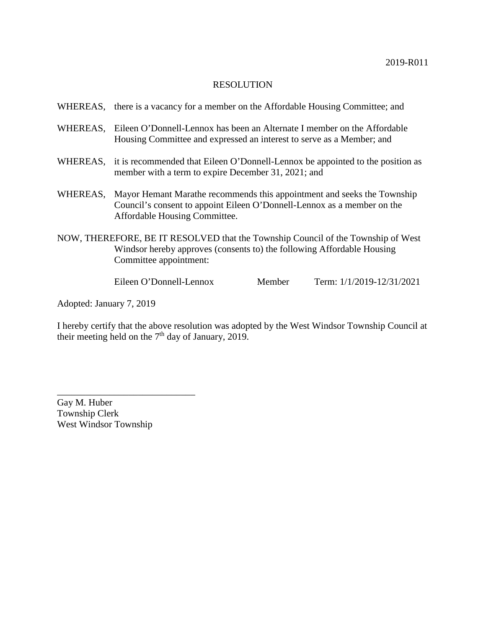|                                                                                                                                                                                      | WHEREAS, there is a vacancy for a member on the Affordable Housing Committee; and                                                                                                   |        |                               |
|--------------------------------------------------------------------------------------------------------------------------------------------------------------------------------------|-------------------------------------------------------------------------------------------------------------------------------------------------------------------------------------|--------|-------------------------------|
| WHEREAS,                                                                                                                                                                             | Eileen O'Donnell-Lennox has been an Alternate I member on the Affordable<br>Housing Committee and expressed an interest to serve as a Member; and                                   |        |                               |
|                                                                                                                                                                                      | WHEREAS, it is recommended that Eileen O'Donnell-Lennox be appointed to the position as<br>member with a term to expire December 31, 2021; and                                      |        |                               |
| WHEREAS,                                                                                                                                                                             | Mayor Hemant Marathe recommends this appointment and seeks the Township<br>Council's consent to appoint Eileen O'Donnell-Lennox as a member on the<br>Affordable Housing Committee. |        |                               |
| NOW, THEREFORE, BE IT RESOLVED that the Township Council of the Township of West<br>Windsor hereby approves (consents to) the following Affordable Housing<br>Committee appointment: |                                                                                                                                                                                     |        |                               |
|                                                                                                                                                                                      | Eileen O'Donnell-Lennox                                                                                                                                                             | Member | Term: $1/1/2019 - 12/31/2021$ |

Adopted: January 7, 2019

I hereby certify that the above resolution was adopted by the West Windsor Township Council at their meeting held on the  $7<sup>th</sup>$  day of January, 2019.

Gay M. Huber Township Clerk West Windsor Township

\_\_\_\_\_\_\_\_\_\_\_\_\_\_\_\_\_\_\_\_\_\_\_\_\_\_\_\_\_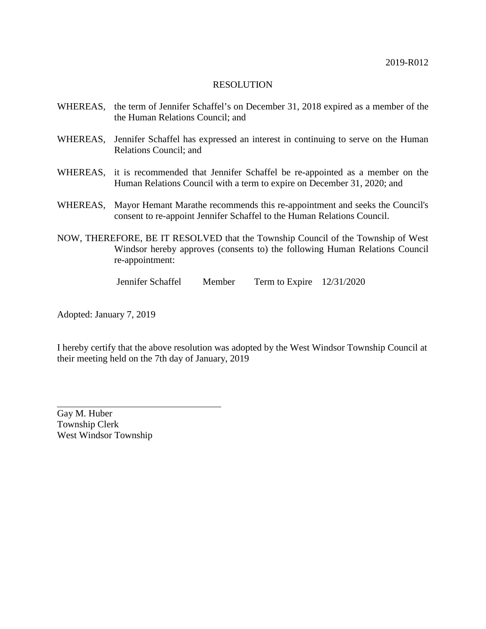- WHEREAS, the term of Jennifer Schaffel's on December 31, 2018 expired as a member of the the Human Relations Council; and
- WHEREAS, Jennifer Schaffel has expressed an interest in continuing to serve on the Human Relations Council; and
- WHEREAS, it is recommended that Jennifer Schaffel be re-appointed as a member on the Human Relations Council with a term to expire on December 31, 2020; and
- WHEREAS, Mayor Hemant Marathe recommends this re-appointment and seeks the Council's consent to re-appoint Jennifer Schaffel to the Human Relations Council.
- NOW, THEREFORE, BE IT RESOLVED that the Township Council of the Township of West Windsor hereby approves (consents to) the following Human Relations Council re-appointment:
	- Jennifer Schaffel Member Term to Expire 12/31/2020

Adopted: January 7, 2019

I hereby certify that the above resolution was adopted by the West Windsor Township Council at their meeting held on the 7th day of January, 2019

Gay M. Huber Township Clerk West Windsor Township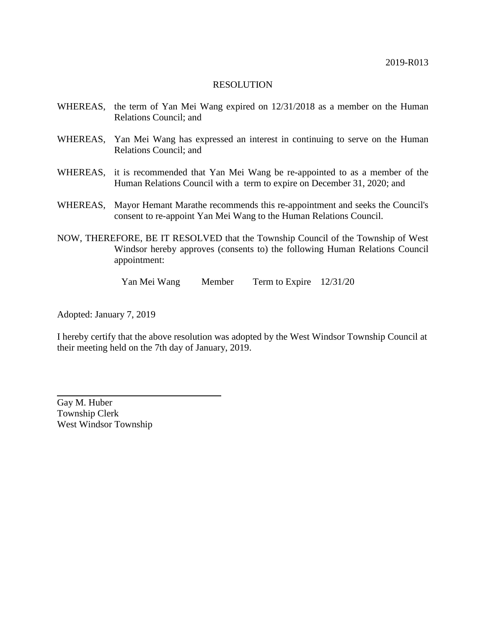- WHEREAS, the term of Yan Mei Wang expired on 12/31/2018 as a member on the Human Relations Council; and
- WHEREAS, Yan Mei Wang has expressed an interest in continuing to serve on the Human Relations Council; and
- WHEREAS, it is recommended that Yan Mei Wang be re-appointed to as a member of the Human Relations Council with a term to expire on December 31, 2020; and
- WHEREAS, Mayor Hemant Marathe recommends this re-appointment and seeks the Council's consent to re-appoint Yan Mei Wang to the Human Relations Council.
- NOW, THEREFORE, BE IT RESOLVED that the Township Council of the Township of West Windsor hereby approves (consents to) the following Human Relations Council appointment:

Yan Mei Wang Member Term to Expire 12/31/20

Adopted: January 7, 2019

I hereby certify that the above resolution was adopted by the West Windsor Township Council at their meeting held on the 7th day of January, 2019.

Gay M. Huber Township Clerk West Windsor Township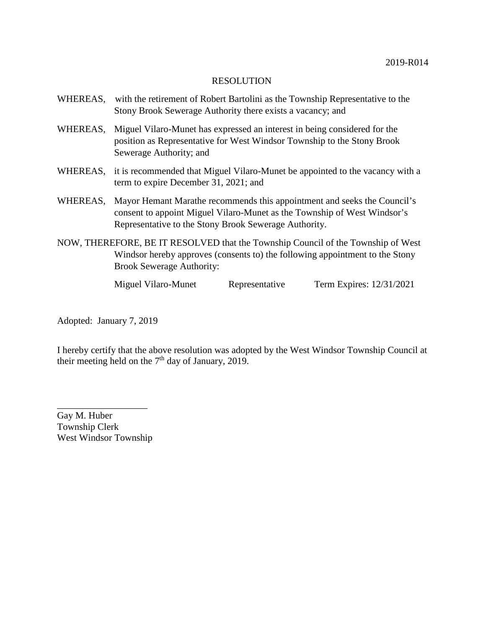| WHEREAS, | with the retirement of Robert Bartolini as the Township Representative to the<br>Stony Brook Sewerage Authority there exists a vacancy; and                                                                   |
|----------|---------------------------------------------------------------------------------------------------------------------------------------------------------------------------------------------------------------|
| WHEREAS, | Miguel Vilaro-Munet has expressed an interest in being considered for the<br>position as Representative for West Windsor Township to the Stony Brook<br>Sewerage Authority; and                               |
|          | WHEREAS, it is recommended that Miguel Vilaro-Munet be appointed to the vacancy with a<br>term to expire December 31, 2021; and                                                                               |
| WHEREAS, | Mayor Hemant Marathe recommends this appointment and seeks the Council's<br>consent to appoint Miguel Vilaro-Munet as the Township of West Windsor's<br>Representative to the Stony Brook Sewerage Authority. |
|          | NOW, THEREFORE, BE IT RESOLVED that the Township Council of the Township of West<br>Windsor hereby approves (consents to) the following appointment to the Stony<br><b>Brook Sewerage Authority:</b>          |

Miguel Vilaro-Munet Representative Term Expires: 12/31/2021

Adopted: January 7, 2019

I hereby certify that the above resolution was adopted by the West Windsor Township Council at their meeting held on the  $7<sup>th</sup>$  day of January, 2019.

Gay M. Huber Township Clerk West Windsor Township

\_\_\_\_\_\_\_\_\_\_\_\_\_\_\_\_\_\_\_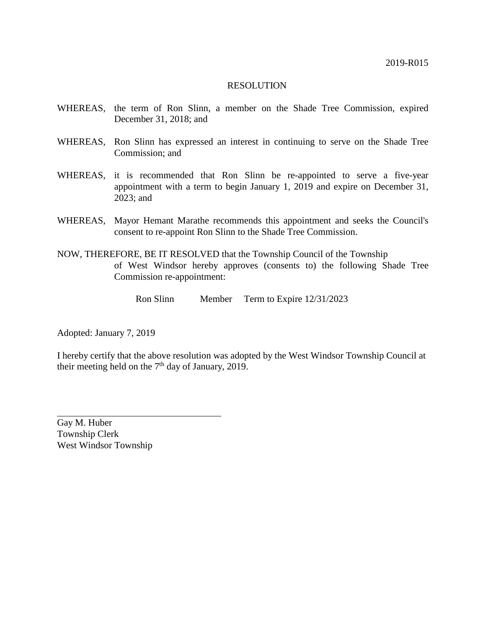- WHEREAS, the term of Ron Slinn, a member on the Shade Tree Commission, expired December 31, 2018; and
- WHEREAS, Ron Slinn has expressed an interest in continuing to serve on the Shade Tree Commission; and
- WHEREAS, it is recommended that Ron Slinn be re-appointed to serve a five-year appointment with a term to begin January 1, 2019 and expire on December 31, 2023; and
- WHEREAS, Mayor Hemant Marathe recommends this appointment and seeks the Council's consent to re-appoint Ron Slinn to the Shade Tree Commission.
- NOW, THEREFORE, BE IT RESOLVED that the Township Council of the Township of West Windsor hereby approves (consents to) the following Shade Tree Commission re-appointment:
	- Ron Slinn Member Term to Expire 12/31/2023

Adopted: January 7, 2019

I hereby certify that the above resolution was adopted by the West Windsor Township Council at their meeting held on the  $7<sup>th</sup>$  day of January, 2019.

Gay M. Huber Township Clerk West Windsor Township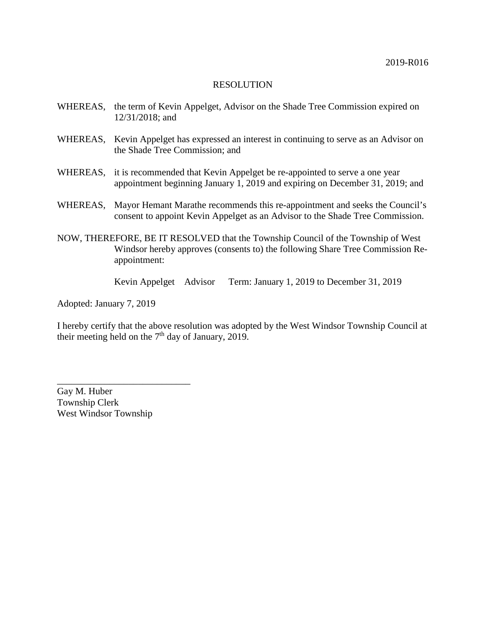- WHEREAS, the term of Kevin Appelget, Advisor on the Shade Tree Commission expired on 12/31/2018; and
- WHEREAS, Kevin Appelget has expressed an interest in continuing to serve as an Advisor on the Shade Tree Commission; and
- WHEREAS, it is recommended that Kevin Appelget be re-appointed to serve a one year appointment beginning January 1, 2019 and expiring on December 31, 2019; and
- WHEREAS, Mayor Hemant Marathe recommends this re-appointment and seeks the Council's consent to appoint Kevin Appelget as an Advisor to the Shade Tree Commission.
- NOW, THEREFORE, BE IT RESOLVED that the Township Council of the Township of West Windsor hereby approves (consents to) the following Share Tree Commission Reappointment:

Kevin Appelget Advisor Term: January 1, 2019 to December 31, 2019

Adopted: January 7, 2019

I hereby certify that the above resolution was adopted by the West Windsor Township Council at their meeting held on the  $7<sup>th</sup>$  day of January, 2019.

Gay M. Huber Township Clerk West Windsor Township

\_\_\_\_\_\_\_\_\_\_\_\_\_\_\_\_\_\_\_\_\_\_\_\_\_\_\_\_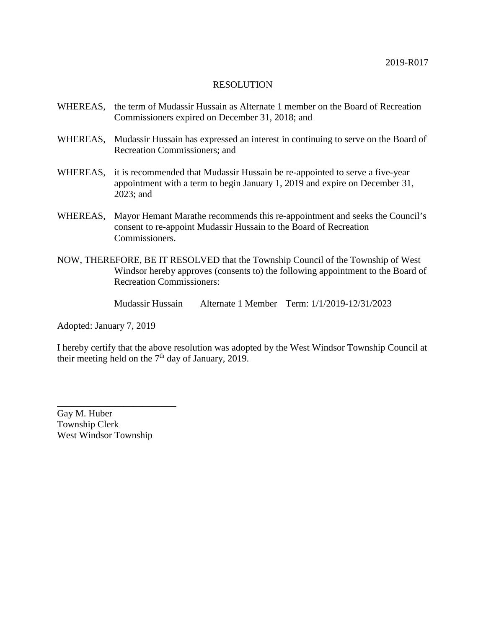- WHEREAS, the term of Mudassir Hussain as Alternate 1 member on the Board of Recreation Commissioners expired on December 31, 2018; and
- WHEREAS, Mudassir Hussain has expressed an interest in continuing to serve on the Board of Recreation Commissioners; and
- WHEREAS, it is recommended that Mudassir Hussain be re-appointed to serve a five-year appointment with a term to begin January 1, 2019 and expire on December 31, 2023; and
- WHEREAS, Mayor Hemant Marathe recommends this re-appointment and seeks the Council's consent to re-appoint Mudassir Hussain to the Board of Recreation Commissioners.
- NOW, THEREFORE, BE IT RESOLVED that the Township Council of the Township of West Windsor hereby approves (consents to) the following appointment to the Board of Recreation Commissioners:

Mudassir Hussain Alternate 1 Member Term: 1/1/2019-12/31/2023

Adopted: January 7, 2019

I hereby certify that the above resolution was adopted by the West Windsor Township Council at their meeting held on the  $7<sup>th</sup>$  day of January, 2019.

Gay M. Huber Township Clerk West Windsor Township

\_\_\_\_\_\_\_\_\_\_\_\_\_\_\_\_\_\_\_\_\_\_\_\_\_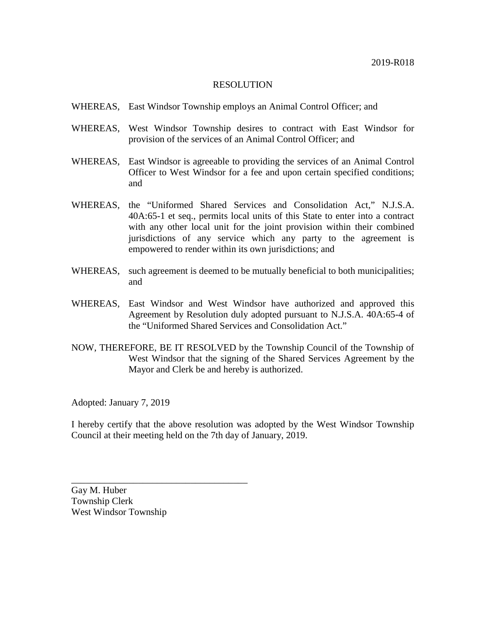- WHEREAS, East Windsor Township employs an Animal Control Officer; and
- WHEREAS, West Windsor Township desires to contract with East Windsor for provision of the services of an Animal Control Officer; and
- WHEREAS, East Windsor is agreeable to providing the services of an Animal Control Officer to West Windsor for a fee and upon certain specified conditions; and
- WHEREAS, the "Uniformed Shared Services and Consolidation Act," N.J.S.A. 40A:65-1 et seq., permits local units of this State to enter into a contract with any other local unit for the joint provision within their combined jurisdictions of any service which any party to the agreement is empowered to render within its own jurisdictions; and
- WHEREAS, such agreement is deemed to be mutually beneficial to both municipalities; and
- WHEREAS, East Windsor and West Windsor have authorized and approved this Agreement by Resolution duly adopted pursuant to N.J.S.A. 40A:65-4 of the "Uniformed Shared Services and Consolidation Act."
- NOW, THEREFORE, BE IT RESOLVED by the Township Council of the Township of West Windsor that the signing of the Shared Services Agreement by the Mayor and Clerk be and hereby is authorized.

Adopted: January 7, 2019

I hereby certify that the above resolution was adopted by the West Windsor Township Council at their meeting held on the 7th day of January, 2019.

Gay M. Huber Township Clerk West Windsor Township

\_\_\_\_\_\_\_\_\_\_\_\_\_\_\_\_\_\_\_\_\_\_\_\_\_\_\_\_\_\_\_\_\_\_\_\_\_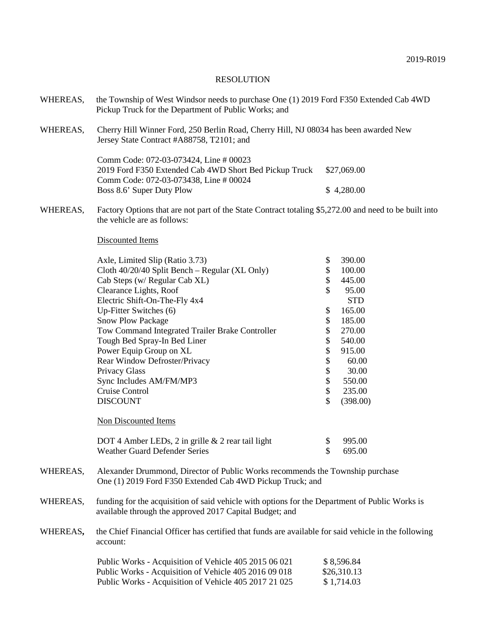| WHEREAS,      | the Township of West Windsor needs to purchase One (1) 2019 Ford F350 Extended Cab 4WD<br>Pickup Truck for the Department of Public Works; and                                                                                                                                                                                                     |             |
|---------------|----------------------------------------------------------------------------------------------------------------------------------------------------------------------------------------------------------------------------------------------------------------------------------------------------------------------------------------------------|-------------|
| WHEREAS,      | Cherry Hill Winner Ford, 250 Berlin Road, Cherry Hill, NJ 08034 has been awarded New<br>Jersey State Contract #A88758, T2101; and                                                                                                                                                                                                                  |             |
|               | Comm Code: 072-03-073424, Line # 00023<br>2019 Ford F350 Extended Cab 4WD Short Bed Pickup Truck<br>Comm Code: 072-03-073438, Line # 00024                                                                                                                                                                                                         | \$27,069.00 |
|               | Boss 8.6' Super Duty Plow                                                                                                                                                                                                                                                                                                                          | \$4,280.00  |
| $\frac{1}{2}$ | $\Gamma$ , $\Omega$ , $1$ , , , $1$ , $1$ , $\Omega$ , $\Omega$ , $\Omega$ , $\Omega$ , $\Omega$ , $\Omega$ , $\Omega$ , $\Omega$ , $\Omega$ , $\Omega$ , $\Omega$ , $\Omega$ , $\Omega$ , $\Omega$ , $\Omega$ , $\Omega$ , $\Omega$ , $\Omega$ , $\Omega$ , $\Omega$ , $\Omega$ , $\Omega$ , $\Omega$ , $\Omega$ , $\Omega$ , $\Omega$ , $\Omega$ |             |

WHEREAS, Factory Options that are not part of the State Contract totaling \$5,272.00 and need to be built into the vehicle are as follows:

#### Discounted Items

| Axle, Limited Slip (Ratio 3.73)                   | \$<br>390.00   |
|---------------------------------------------------|----------------|
| Cloth 40/20/40 Split Bench – Regular (XL Only)    | \$<br>100.00   |
| Cab Steps (w/ Regular Cab XL)                     | \$<br>445.00   |
| Clearance Lights, Roof                            | \$<br>95.00    |
| Electric Shift-On-The-Fly 4x4                     | <b>STD</b>     |
| Up-Fitter Switches (6)                            | \$<br>165.00   |
| <b>Snow Plow Package</b>                          | \$<br>185.00   |
| Tow Command Integrated Trailer Brake Controller   | \$<br>270.00   |
| Tough Bed Spray-In Bed Liner                      | \$<br>540.00   |
| Power Equip Group on XL                           | \$<br>915.00   |
| Rear Window Defroster/Privacy                     | \$<br>60.00    |
| <b>Privacy Glass</b>                              | \$<br>30.00    |
| Sync Includes AM/FM/MP3                           | \$<br>550.00   |
| Cruise Control                                    | \$<br>235.00   |
| <b>DISCOUNT</b>                                   | \$<br>(398.00) |
| Non Discounted Items                              |                |
| DOT 4 Amber LEDs, 2 in grille & 2 rear tail light | \$<br>995.00   |
| Weather Guard Defender Series                     | \$<br>695.00   |

- WHEREAS, Alexander Drummond, Director of Public Works recommends the Township purchase One (1) 2019 Ford F350 Extended Cab 4WD Pickup Truck; and
- WHEREAS, funding for the acquisition of said vehicle with options for the Department of Public Works is available through the approved 2017 Capital Budget; and
- WHEREAS**,** the Chief Financial Officer has certified that funds are available for said vehicle in the following account:

| Public Works - Acquisition of Vehicle 405 2015 06 021 | \$8,596.84  |
|-------------------------------------------------------|-------------|
| Public Works - Acquisition of Vehicle 405 2016 09 018 | \$26,310.13 |
| Public Works - Acquisition of Vehicle 405 2017 21 025 | \$1.714.03  |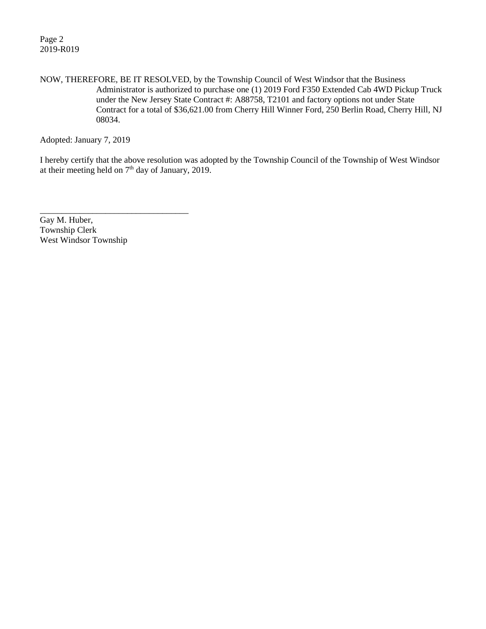Page 2 2019-R019

NOW, THEREFORE, BE IT RESOLVED, by the Township Council of West Windsor that the Business Administrator is authorized to purchase one (1) 2019 Ford F350 Extended Cab 4WD Pickup Truck under the New Jersey State Contract #: A88758, T2101 and factory options not under State Contract for a total of \$36,621.00 from Cherry Hill Winner Ford, 250 Berlin Road, Cherry Hill, NJ 08034.

Adopted: January 7, 2019

I hereby certify that the above resolution was adopted by the Township Council of the Township of West Windsor at their meeting held on 7<sup>th</sup> day of January, 2019.

Gay M. Huber, Township Clerk West Windsor Township

\_\_\_\_\_\_\_\_\_\_\_\_\_\_\_\_\_\_\_\_\_\_\_\_\_\_\_\_\_\_\_\_\_\_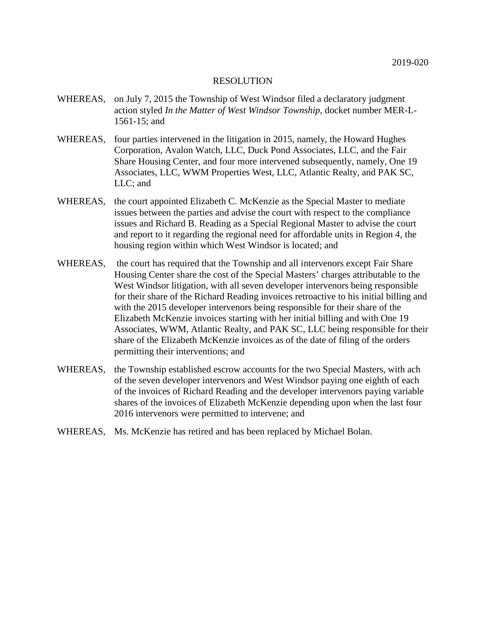- WHEREAS, on July 7, 2015 the Township of West Windsor filed a declaratory judgment action styled *In the Matter of West Windsor Township*, docket number MER-L-1561-15; and
- WHEREAS, four parties intervened in the litigation in 2015, namely, the Howard Hughes Corporation, Avalon Watch, LLC, Duck Pond Associates, LLC, and the Fair Share Housing Center, and four more intervened subsequently, namely, One 19 Associates, LLC, WWM Properties West, LLC, Atlantic Realty, and PAK SC, LLC; and
- WHEREAS, the court appointed Elizabeth C. McKenzie as the Special Master to mediate issues between the parties and advise the court with respect to the compliance issues and Richard B. Reading as a Special Regional Master to advise the court and report to it regarding the regional need for affordable units in Region 4, the housing region within which West Windsor is located; and
- WHEREAS, the court has required that the Township and all intervenors except Fair Share Housing Center share the cost of the Special Masters' charges attributable to the West Windsor litigation, with all seven developer intervenors being responsible for their share of the Richard Reading invoices retroactive to his initial billing and with the 2015 developer intervenors being responsible for their share of the Elizabeth McKenzie invoices starting with her initial billing and with One 19 Associates, WWM, Atlantic Realty, and PAK SC, LLC being responsible for their share of the Elizabeth McKenzie invoices as of the date of filing of the orders permitting their interventions; and
- WHEREAS, the Township established escrow accounts for the two Special Masters, with ach of the seven developer intervenors and West Windsor paying one eighth of each of the invoices of Richard Reading and the developer intervenors paying variable shares of the invoices of Elizabeth McKenzie depending upon when the last four 2016 intervenors were permitted to intervene; and
- WHEREAS, Ms. McKenzie has retired and has been replaced by Michael Bolan.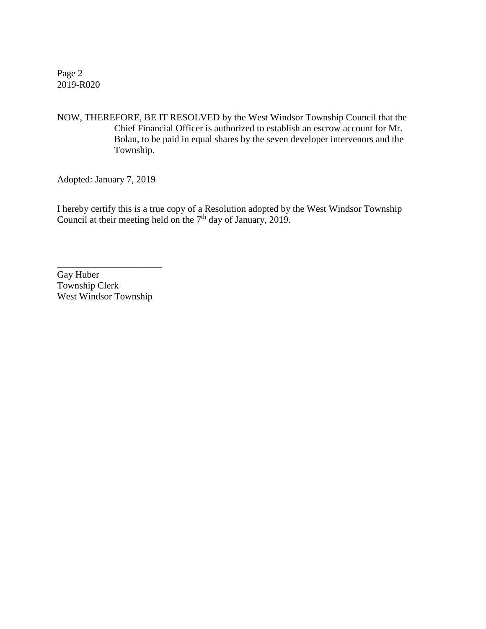Page 2 2019-R020

NOW, THEREFORE, BE IT RESOLVED by the West Windsor Township Council that the Chief Financial Officer is authorized to establish an escrow account for Mr. Bolan, to be paid in equal shares by the seven developer intervenors and the Township.

Adopted: January 7, 2019

I hereby certify this is a true copy of a Resolution adopted by the West Windsor Township Council at their meeting held on the  $7<sup>th</sup>$  day of January, 2019.

Gay Huber Township Clerk West Windsor Township

\_\_\_\_\_\_\_\_\_\_\_\_\_\_\_\_\_\_\_\_\_\_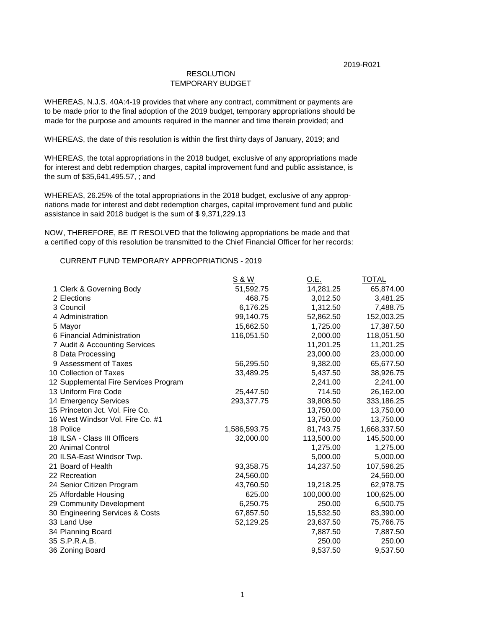#### TEMPORARY BUDGET RESOLUTION

WHEREAS, N.J.S. 40A:4-19 provides that where any contract, commitment or payments are to be made prior to the final adoption of the 2019 budget, temporary appropriations should be made for the purpose and amounts required in the manner and time therein provided; and

WHEREAS, the date of this resolution is within the first thirty days of January, 2019; and

WHEREAS, the total appropriations in the 2018 budget, exclusive of any appropriations made for interest and debt redemption charges, capital improvement fund and public assistance, is the sum of \$35,641,495.57, ; and

WHEREAS, 26.25% of the total appropriations in the 2018 budget, exclusive of any appropriations made for interest and debt redemption charges, capital improvement fund and public assistance in said 2018 budget is the sum of \$ 9,371,229.13

NOW, THEREFORE, BE IT RESOLVED that the following appropriations be made and that a certified copy of this resolution be transmitted to the Chief Financial Officer for her records:

CURRENT FUND TEMPORARY APPROPRIATIONS - 2019

|                                       | S & W        | <u>O.E.</u> | <b>TOTAL</b> |
|---------------------------------------|--------------|-------------|--------------|
| 1 Clerk & Governing Body              | 51,592.75    | 14,281.25   | 65,874.00    |
| 2 Elections                           | 468.75       | 3,012.50    | 3,481.25     |
| 3 Council                             | 6,176.25     | 1,312.50    | 7,488.75     |
| 4 Administration                      | 99,140.75    | 52,862.50   | 152,003.25   |
| 5 Mayor                               | 15,662.50    | 1,725.00    | 17,387.50    |
| 6 Financial Administration            | 116,051.50   | 2,000.00    | 118,051.50   |
| 7 Audit & Accounting Services         |              | 11,201.25   | 11,201.25    |
| 8 Data Processing                     |              | 23,000.00   | 23,000.00    |
| 9 Assessment of Taxes                 | 56,295.50    | 9,382.00    | 65,677.50    |
| 10 Collection of Taxes                | 33,489.25    | 5,437.50    | 38,926.75    |
| 12 Supplemental Fire Services Program |              | 2,241.00    | 2,241.00     |
| 13 Uniform Fire Code                  | 25,447.50    | 714.50      | 26,162.00    |
| 14 Emergency Services                 | 293,377.75   | 39,808.50   | 333,186.25   |
| 15 Princeton Jct. Vol. Fire Co.       |              | 13,750.00   | 13,750.00    |
| 16 West Windsor Vol. Fire Co. #1      |              | 13,750.00   | 13,750.00    |
| 18 Police                             | 1,586,593.75 | 81,743.75   | 1,668,337.50 |
| 18 ILSA - Class III Officers          | 32,000.00    | 113,500.00  | 145,500.00   |
| 20 Animal Control                     |              | 1,275.00    | 1,275.00     |
| 20 ILSA-East Windsor Twp.             |              | 5,000.00    | 5,000.00     |
| 21 Board of Health                    | 93,358.75    | 14,237.50   | 107,596.25   |
| 22 Recreation                         | 24,560.00    |             | 24,560.00    |
| 24 Senior Citizen Program             | 43,760.50    | 19,218.25   | 62,978.75    |
| 25 Affordable Housing                 | 625.00       | 100,000.00  | 100,625.00   |
| 29 Community Development              | 6,250.75     | 250.00      | 6,500.75     |
| 30 Engineering Services & Costs       | 67,857.50    | 15,532.50   | 83,390.00    |
| 33 Land Use                           | 52,129.25    | 23,637.50   | 75,766.75    |
| 34 Planning Board                     |              | 7,887.50    | 7,887.50     |
| 35 S.P.R.A.B.                         |              | 250.00      | 250.00       |
| 36 Zoning Board                       |              | 9,537.50    | 9,537.50     |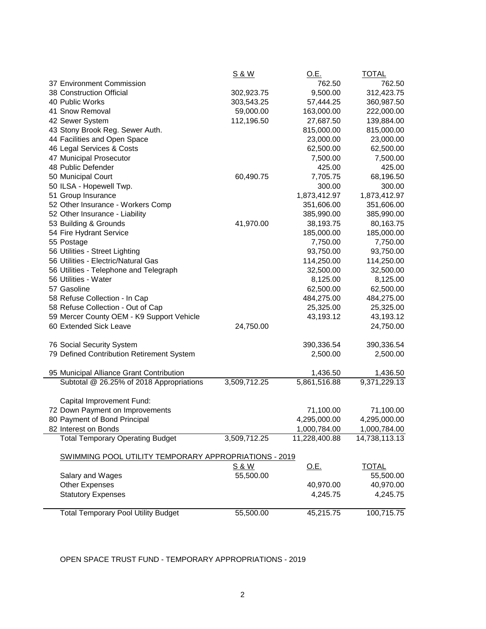|                                                       | <u>S&amp;W</u> | <u>O.E.</u>   | <u>TOTAL</u>  |
|-------------------------------------------------------|----------------|---------------|---------------|
| 37 Environment Commission                             |                | 762.50        | 762.50        |
| 38 Construction Official                              | 302,923.75     | 9,500.00      | 312,423.75    |
| 40 Public Works                                       | 303,543.25     | 57,444.25     | 360,987.50    |
| 41 Snow Removal                                       | 59,000.00      | 163,000.00    | 222,000.00    |
| 42 Sewer System                                       | 112,196.50     | 27,687.50     | 139,884.00    |
| 43 Stony Brook Reg. Sewer Auth.                       |                | 815,000.00    | 815,000.00    |
| 44 Facilities and Open Space                          |                | 23,000.00     | 23,000.00     |
| 46 Legal Services & Costs                             |                | 62,500.00     | 62,500.00     |
| 47 Municipal Prosecutor                               |                | 7,500.00      | 7,500.00      |
| 48 Public Defender                                    |                | 425.00        | 425.00        |
| 50 Municipal Court                                    | 60,490.75      | 7,705.75      | 68,196.50     |
| 50 ILSA - Hopewell Twp.                               |                | 300.00        | 300.00        |
| 51 Group Insurance                                    |                | 1,873,412.97  | 1,873,412.97  |
| 52 Other Insurance - Workers Comp                     |                | 351,606.00    | 351,606.00    |
| 52 Other Insurance - Liability                        |                | 385,990.00    | 385,990.00    |
| 53 Building & Grounds                                 | 41,970.00      | 38,193.75     | 80,163.75     |
| 54 Fire Hydrant Service                               |                | 185,000.00    | 185,000.00    |
| 55 Postage                                            |                | 7,750.00      | 7,750.00      |
| 56 Utilities - Street Lighting                        |                | 93,750.00     | 93,750.00     |
| 56 Utilities - Electric/Natural Gas                   |                | 114,250.00    | 114,250.00    |
| 56 Utilities - Telephone and Telegraph                |                | 32,500.00     | 32,500.00     |
| 56 Utilities - Water                                  |                | 8,125.00      | 8,125.00      |
| 57 Gasoline                                           |                | 62,500.00     | 62,500.00     |
| 58 Refuse Collection - In Cap                         |                | 484,275.00    | 484,275.00    |
| 58 Refuse Collection - Out of Cap                     |                | 25,325.00     | 25,325.00     |
| 59 Mercer County OEM - K9 Support Vehicle             |                | 43,193.12     | 43,193.12     |
| 60 Extended Sick Leave                                | 24,750.00      |               | 24,750.00     |
|                                                       |                |               |               |
| 76 Social Security System                             |                | 390,336.54    | 390,336.54    |
| 79 Defined Contribution Retirement System             |                | 2,500.00      | 2,500.00      |
|                                                       |                |               |               |
| 95 Municipal Alliance Grant Contribution              |                | 1,436.50      | 1,436.50      |
| Subtotal @ 26.25% of 2018 Appropriations              | 3,509,712.25   | 5,861,516.88  | 9,371,229.13  |
|                                                       |                |               |               |
| Capital Improvement Fund:                             |                |               |               |
| 72 Down Payment on Improvements                       |                | 71,100.00     | 71,100.00     |
| 80 Payment of Bond Principal                          |                | 4,295,000.00  | 4,295,000.00  |
| 82 Interest on Bonds                                  |                | 1,000,784.00  | 1,000,784.00  |
| <b>Total Temporary Operating Budget</b>               | 3,509,712.25   | 11,228,400.88 | 14,738,113.13 |
|                                                       |                |               |               |
| SWIMMING POOL UTILITY TEMPORARY APPROPRIATIONS - 2019 |                |               |               |
|                                                       | <u>S&amp;W</u> | <u>O.E.</u>   | <b>TOTAL</b>  |
| Salary and Wages                                      | 55,500.00      |               | 55,500.00     |
| <b>Other Expenses</b>                                 |                | 40,970.00     | 40,970.00     |
| <b>Statutory Expenses</b>                             |                | 4,245.75      | 4,245.75      |
|                                                       |                |               |               |
| <b>Total Temporary Pool Utility Budget</b>            | 55,500.00      | 45,215.75     | 100,715.75    |

OPEN SPACE TRUST FUND - TEMPORARY APPROPRIATIONS - 2019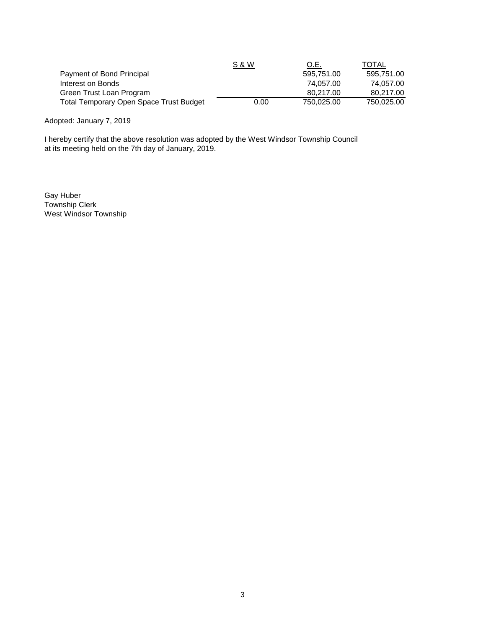|                                                | <u>S&amp;W</u> | O.E.       | TOTAL      |
|------------------------------------------------|----------------|------------|------------|
| Payment of Bond Principal                      |                | 595.751.00 | 595.751.00 |
| Interest on Bonds                              |                | 74.057.00  | 74.057.00  |
| Green Trust Loan Program                       |                | 80.217.00  | 80.217.00  |
| <b>Total Temporary Open Space Trust Budget</b> | 0.00           | 750.025.00 | 750.025.00 |

Adopted: January 7, 2019

I hereby certify that the above resolution was adopted by the West Windsor Township Council at its meeting held on the 7th day of January, 2019.

Gay Huber Township Clerk West Windsor Township